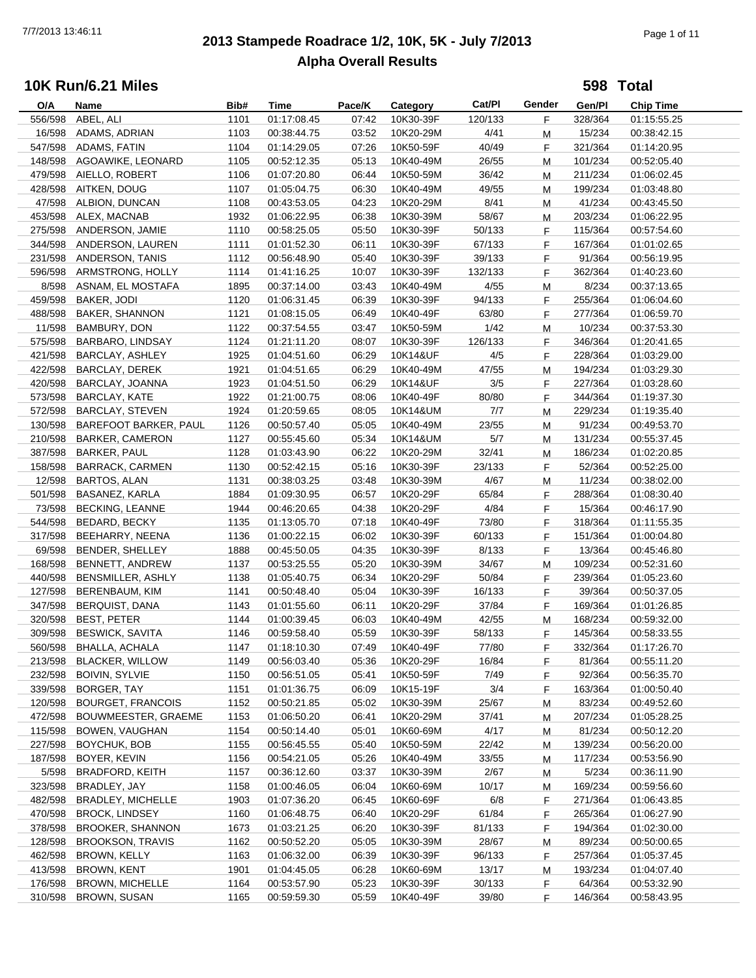# **2013 Stampede Roadrace 1/2, 10K, 5K - July 7/2013** 7/7/2013 13:46:11 Page 1 of 11 **Alpha Overall Results**

**598 Total**

| O/A     | Name                     | Bib# | Time        | Pace/K | Category  | Cat/PI  | Gender | Gen/Pl  | <b>Chip Time</b> |
|---------|--------------------------|------|-------------|--------|-----------|---------|--------|---------|------------------|
| 556/598 | ABEL, ALI                | 1101 | 01:17:08.45 | 07:42  | 10K30-39F | 120/133 | F      | 328/364 | 01:15:55.25      |
| 16/598  | ADAMS, ADRIAN            | 1103 | 00:38:44.75 | 03:52  | 10K20-29M | 4/41    | M      | 15/234  | 00:38:42.15      |
| 547/598 | ADAMS, FATIN             | 1104 | 01:14:29.05 | 07:26  | 10K50-59F | 40/49   | F      | 321/364 | 01:14:20.95      |
| 148/598 | AGOAWIKE, LEONARD        | 1105 | 00:52:12.35 | 05:13  | 10K40-49M | 26/55   | M      | 101/234 | 00:52:05.40      |
| 479/598 | AIELLO, ROBERT           | 1106 | 01:07:20.80 | 06:44  | 10K50-59M | 36/42   | M      | 211/234 | 01:06:02.45      |
|         | 428/598 AITKEN, DOUG     | 1107 | 01:05:04.75 | 06:30  | 10K40-49M | 49/55   | M      | 199/234 | 01:03:48.80      |
| 47/598  | ALBION, DUNCAN           | 1108 | 00:43:53.05 | 04:23  | 10K20-29M | 8/41    | M      | 41/234  | 00:43:45.50      |
|         |                          |      |             |        |           |         |        |         |                  |
|         | 453/598 ALEX, MACNAB     | 1932 | 01:06:22.95 | 06:38  | 10K30-39M | 58/67   | M      | 203/234 | 01:06:22.95      |
| 275/598 | ANDERSON, JAMIE          | 1110 | 00:58:25.05 | 05:50  | 10K30-39F | 50/133  | F      | 115/364 | 00:57:54.60      |
| 344/598 | ANDERSON, LAUREN         | 1111 | 01:01:52.30 | 06:11  | 10K30-39F | 67/133  | F      | 167/364 | 01:01:02.65      |
| 231/598 | ANDERSON, TANIS          | 1112 | 00:56:48.90 | 05:40  | 10K30-39F | 39/133  | F      | 91/364  | 00:56:19.95      |
| 596/598 | ARMSTRONG, HOLLY         | 1114 | 01:41:16.25 | 10:07  | 10K30-39F | 132/133 | F      | 362/364 | 01:40:23.60      |
| 8/598   | ASNAM, EL MOSTAFA        | 1895 | 00:37:14.00 | 03:43  | 10K40-49M | 4/55    | М      | 8/234   | 00:37:13.65      |
| 459/598 | BAKER, JODI              | 1120 | 01:06:31.45 | 06:39  | 10K30-39F | 94/133  | F      | 255/364 | 01:06:04.60      |
| 488/598 | <b>BAKER, SHANNON</b>    | 1121 | 01:08:15.05 | 06:49  | 10K40-49F | 63/80   | F      | 277/364 | 01:06:59.70      |
| 11/598  | BAMBURY, DON             | 1122 | 00:37:54.55 | 03:47  | 10K50-59M | 1/42    | М      | 10/234  | 00:37:53.30      |
| 575/598 | BARBARO, LINDSAY         | 1124 | 01:21:11.20 | 08:07  | 10K30-39F | 126/133 | F      | 346/364 | 01:20:41.65      |
| 421/598 | BARCLAY, ASHLEY          | 1925 | 01:04:51.60 | 06:29  | 10K14&UF  | 4/5     | F      | 228/364 | 01:03:29.00      |
| 422/598 | BARCLAY, DEREK           | 1921 | 01:04:51.65 | 06:29  | 10K40-49M | 47/55   | М      | 194/234 | 01:03:29.30      |
| 420/598 | BARCLAY, JOANNA          | 1923 | 01:04:51.50 | 06:29  | 10K14&UF  | 3/5     | F      | 227/364 | 01:03:28.60      |
| 573/598 | BARCLAY, KATE            | 1922 | 01:21:00.75 | 08:06  | 10K40-49F | 80/80   | F      | 344/364 | 01:19:37.30      |
|         |                          |      |             |        |           |         |        |         |                  |
| 572/598 | <b>BARCLAY, STEVEN</b>   | 1924 | 01:20:59.65 | 08:05  | 10K14&UM  | 7/7     | M      | 229/234 | 01:19:35.40      |
| 130/598 | BAREFOOT BARKER, PAUL    | 1126 | 00:50:57.40 | 05:05  | 10K40-49M | 23/55   | М      | 91/234  | 00:49:53.70      |
| 210/598 | <b>BARKER, CAMERON</b>   | 1127 | 00:55:45.60 | 05:34  | 10K14&UM  | 5/7     | М      | 131/234 | 00:55:37.45      |
| 387/598 | <b>BARKER, PAUL</b>      | 1128 | 01:03:43.90 | 06:22  | 10K20-29M | 32/41   | М      | 186/234 | 01:02:20.85      |
| 158/598 | <b>BARRACK, CARMEN</b>   | 1130 | 00:52:42.15 | 05:16  | 10K30-39F | 23/133  | F      | 52/364  | 00:52:25.00      |
| 12/598  | <b>BARTOS, ALAN</b>      | 1131 | 00:38:03.25 | 03:48  | 10K30-39M | 4/67    | М      | 11/234  | 00:38:02.00      |
| 501/598 | BASANEZ, KARLA           | 1884 | 01:09:30.95 | 06:57  | 10K20-29F | 65/84   | F      | 288/364 | 01:08:30.40      |
| 73/598  | <b>BECKING, LEANNE</b>   | 1944 | 00:46:20.65 | 04:38  | 10K20-29F | 4/84    | F      | 15/364  | 00:46:17.90      |
| 544/598 | BEDARD, BECKY            | 1135 | 01:13:05.70 | 07:18  | 10K40-49F | 73/80   | F      | 318/364 | 01:11:55.35      |
| 317/598 | BEEHARRY, NEENA          | 1136 | 01:00:22.15 | 06:02  | 10K30-39F | 60/133  | F      | 151/364 | 01:00:04.80      |
| 69/598  | BENDER, SHELLEY          | 1888 | 00:45:50.05 | 04:35  | 10K30-39F | 8/133   | F      | 13/364  | 00:45:46.80      |
| 168/598 | BENNETT, ANDREW          | 1137 | 00:53:25.55 | 05:20  | 10K30-39M | 34/67   | М      | 109/234 | 00:52:31.60      |
| 440/598 | BENSMILLER, ASHLY        | 1138 | 01:05:40.75 | 06:34  | 10K20-29F | 50/84   | F      | 239/364 | 01:05:23.60      |
| 127/598 | BERENBAUM, KIM           | 1141 | 00:50:48.40 | 05:04  | 10K30-39F | 16/133  | F      | 39/364  | 00:50:37.05      |
| 347/598 | BERQUIST, DANA           | 1143 | 01:01:55.60 | 06:11  | 10K20-29F | 37/84   | F      | 169/364 | 01:01:26.85      |
|         | <b>BEST, PETER</b>       |      |             |        |           |         |        |         |                  |
| 320/598 |                          | 1144 | 01:00:39.45 | 06:03  | 10K40-49M | 42/55   | M      | 168/234 | 00:59:32.00      |
| 309/598 | <b>BESWICK, SAVITA</b>   | 1146 | 00:59:58.40 | 05:59  | 10K30-39F | 58/133  | F      | 145/364 | 00:58:33.55      |
| 560/598 | <b>BHALLA, ACHALA</b>    | 1147 | 01:18:10.30 | 07:49  | 10K40-49F | 77/80   | F.     | 332/364 | 01:17:26.70      |
| 213/598 | <b>BLACKER, WILLOW</b>   | 1149 | 00:56:03.40 | 05:36  | 10K20-29F | 16/84   | F      | 81/364  | 00:55:11.20      |
| 232/598 | <b>BOIVIN, SYLVIE</b>    | 1150 | 00:56:51.05 | 05:41  | 10K50-59F | 7/49    | F      | 92/364  | 00:56:35.70      |
| 339/598 | BORGER, TAY              | 1151 | 01:01:36.75 | 06:09  | 10K15-19F | 3/4     | F      | 163/364 | 01:00:50.40      |
| 120/598 | <b>BOURGET, FRANCOIS</b> | 1152 | 00:50:21.85 | 05:02  | 10K30-39M | 25/67   | M      | 83/234  | 00:49:52.60      |
| 472/598 | BOUWMEESTER, GRAEME      | 1153 | 01:06:50.20 | 06:41  | 10K20-29M | 37/41   | M      | 207/234 | 01:05:28.25      |
| 115/598 | BOWEN, VAUGHAN           | 1154 | 00:50:14.40 | 05:01  | 10K60-69M | 4/17    | M      | 81/234  | 00:50:12.20      |
| 227/598 | BOYCHUK, BOB             | 1155 | 00:56:45.55 | 05:40  | 10K50-59M | 22/42   | M      | 139/234 | 00:56:20.00      |
| 187/598 | BOYER, KEVIN             | 1156 | 00:54:21.05 | 05:26  | 10K40-49M | 33/55   | M      | 117/234 | 00:53:56.90      |
| 5/598   | <b>BRADFORD, KEITH</b>   | 1157 | 00:36:12.60 | 03:37  | 10K30-39M | 2/67    | M      | 5/234   | 00:36:11.90      |
| 323/598 | BRADLEY, JAY             | 1158 | 01:00:46.05 | 06:04  | 10K60-69M | 10/17   | M      | 169/234 | 00:59:56.60      |
| 482/598 | <b>BRADLEY, MICHELLE</b> | 1903 | 01:07:36.20 | 06:45  | 10K60-69F | 6/8     | F.     | 271/364 | 01:06:43.85      |
| 470/598 | <b>BROCK, LINDSEY</b>    | 1160 | 01:06:48.75 | 06:40  | 10K20-29F | 61/84   | F      | 265/364 | 01:06:27.90      |
| 378/598 | <b>BROOKER, SHANNON</b>  | 1673 | 01:03:21.25 | 06:20  | 10K30-39F | 81/133  |        | 194/364 | 01:02:30.00      |
|         |                          |      |             |        |           |         | F      |         |                  |
| 128/598 | <b>BROOKSON, TRAVIS</b>  | 1162 | 00:50:52.20 | 05:05  | 10K30-39M | 28/67   | M      | 89/234  | 00:50:00.65      |
| 462/598 | <b>BROWN, KELLY</b>      | 1163 | 01:06:32.00 | 06:39  | 10K30-39F | 96/133  | F      | 257/364 | 01:05:37.45      |
| 413/598 | <b>BROWN, KENT</b>       | 1901 | 01:04:45.05 | 06:28  | 10K60-69M | 13/17   | M      | 193/234 | 01:04:07.40      |
| 176/598 | <b>BROWN, MICHELLE</b>   | 1164 | 00:53:57.90 | 05:23  | 10K30-39F | 30/133  | F      | 64/364  | 00:53:32.90      |
| 310/598 | <b>BROWN, SUSAN</b>      | 1165 | 00:59:59.30 | 05:59  | 10K40-49F | 39/80   | F      | 146/364 | 00:58:43.95      |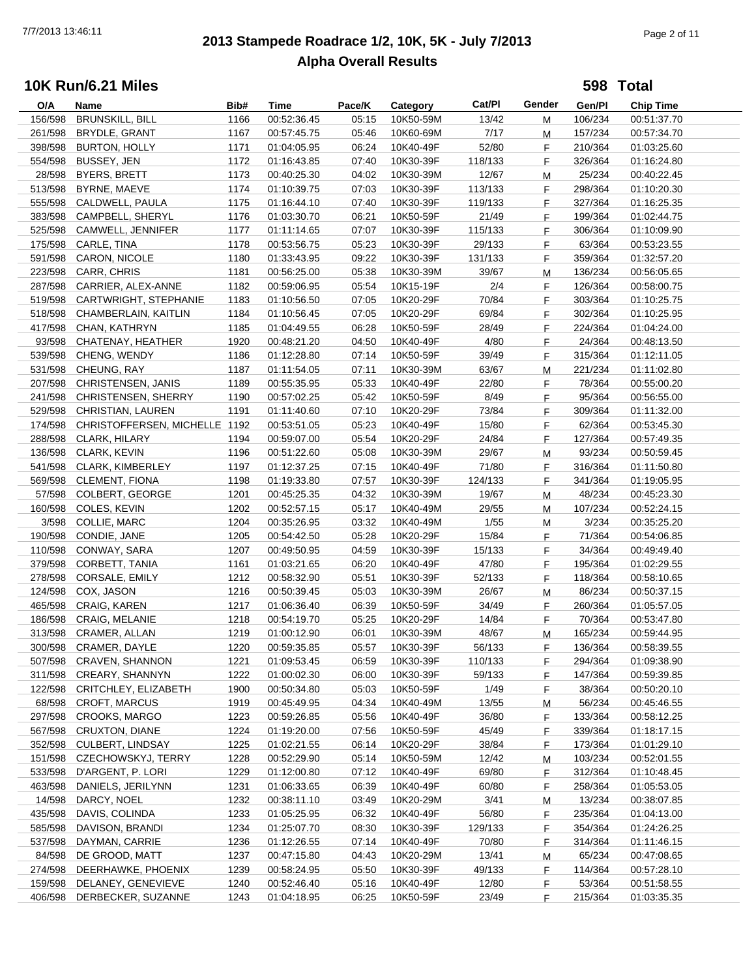# **2013 Stampede Roadrace 1/2, 10K, 5K - July 7/2013** 7/7/2013 13:46:11 Page 2 of 11 **Alpha Overall Results**

**598 Total**

| O/A     | Name                          | Bib# | <b>Time</b> | Pace/K | Category  | Cat/PI  | Gender | Gen/Pl  | <b>Chip Time</b> |
|---------|-------------------------------|------|-------------|--------|-----------|---------|--------|---------|------------------|
| 156/598 | <b>BRUNSKILL, BILL</b>        | 1166 | 00:52:36.45 | 05:15  | 10K50-59M | 13/42   | М      | 106/234 | 00:51:37.70      |
| 261/598 | BRYDLE, GRANT                 | 1167 | 00:57:45.75 | 05:46  | 10K60-69M | 7/17    | M      | 157/234 | 00:57:34.70      |
| 398/598 | <b>BURTON, HOLLY</b>          | 1171 | 01:04:05.95 | 06:24  | 10K40-49F | 52/80   | F      | 210/364 | 01:03:25.60      |
| 554/598 | BUSSEY, JEN                   | 1172 | 01:16:43.85 | 07:40  | 10K30-39F | 118/133 | F      | 326/364 | 01:16:24.80      |
| 28/598  | <b>BYERS, BRETT</b>           | 1173 | 00:40:25.30 | 04:02  | 10K30-39M | 12/67   | М      | 25/234  | 00:40:22.45      |
| 513/598 | BYRNE, MAEVE                  | 1174 | 01:10:39.75 | 07:03  | 10K30-39F | 113/133 | F      | 298/364 | 01:10:20.30      |
| 555/598 | CALDWELL, PAULA               | 1175 | 01:16:44.10 | 07:40  | 10K30-39F | 119/133 | F      | 327/364 | 01:16:25.35      |
| 383/598 | CAMPBELL, SHERYL              | 1176 | 01:03:30.70 | 06:21  | 10K50-59F |         | F      | 199/364 |                  |
|         |                               |      |             |        |           | 21/49   |        |         | 01:02:44.75      |
| 525/598 | CAMWELL, JENNIFER             | 1177 | 01:11:14.65 | 07:07  | 10K30-39F | 115/133 | F      | 306/364 | 01:10:09.90      |
| 175/598 | CARLE, TINA                   | 1178 | 00:53:56.75 | 05:23  | 10K30-39F | 29/133  | F      | 63/364  | 00:53:23.55      |
| 591/598 | CARON, NICOLE                 | 1180 | 01:33:43.95 | 09:22  | 10K30-39F | 131/133 | F      | 359/364 | 01:32:57.20      |
| 223/598 | CARR, CHRIS                   | 1181 | 00:56:25.00 | 05:38  | 10K30-39M | 39/67   | M      | 136/234 | 00:56:05.65      |
| 287/598 | CARRIER, ALEX-ANNE            | 1182 | 00:59:06.95 | 05:54  | 10K15-19F | 2/4     | F      | 126/364 | 00:58:00.75      |
| 519/598 | CARTWRIGHT, STEPHANIE         | 1183 | 01:10:56.50 | 07:05  | 10K20-29F | 70/84   | F      | 303/364 | 01:10:25.75      |
| 518/598 | CHAMBERLAIN, KAITLIN          | 1184 | 01:10:56.45 | 07:05  | 10K20-29F | 69/84   | F      | 302/364 | 01:10:25.95      |
| 417/598 | CHAN, KATHRYN                 | 1185 | 01:04:49.55 | 06:28  | 10K50-59F | 28/49   | F      | 224/364 | 01:04:24.00      |
| 93/598  | CHATENAY, HEATHER             | 1920 | 00:48:21.20 | 04:50  | 10K40-49F | 4/80    | F.     | 24/364  | 00:48:13.50      |
| 539/598 | CHENG, WENDY                  | 1186 | 01:12:28.80 | 07:14  | 10K50-59F | 39/49   | F      | 315/364 | 01:12:11.05      |
| 531/598 | CHEUNG, RAY                   | 1187 | 01:11:54.05 | 07:11  | 10K30-39M | 63/67   | М      | 221/234 | 01:11:02.80      |
| 207/598 | CHRISTENSEN, JANIS            | 1189 | 00:55:35.95 | 05:33  | 10K40-49F | 22/80   | F      | 78/364  | 00:55:00.20      |
| 241/598 | CHRISTENSEN, SHERRY           | 1190 | 00:57:02.25 | 05:42  | 10K50-59F | 8/49    | F      | 95/364  | 00:56:55.00      |
| 529/598 | CHRISTIAN, LAUREN             | 1191 | 01:11:40.60 | 07:10  | 10K20-29F | 73/84   | F      | 309/364 |                  |
|         |                               |      |             |        |           |         |        |         | 01:11:32.00      |
| 174/598 | CHRISTOFFERSEN, MICHELLE 1192 |      | 00:53:51.05 | 05:23  | 10K40-49F | 15/80   | F      | 62/364  | 00:53:45.30      |
| 288/598 | CLARK, HILARY                 | 1194 | 00:59:07.00 | 05:54  | 10K20-29F | 24/84   | F      | 127/364 | 00:57:49.35      |
| 136/598 | CLARK, KEVIN                  | 1196 | 00:51:22.60 | 05:08  | 10K30-39M | 29/67   | M      | 93/234  | 00:50:59.45      |
|         | 541/598 CLARK, KIMBERLEY      | 1197 | 01:12:37.25 | 07:15  | 10K40-49F | 71/80   | F      | 316/364 | 01:11:50.80      |
| 569/598 | <b>CLEMENT, FIONA</b>         | 1198 | 01:19:33.80 | 07:57  | 10K30-39F | 124/133 | F      | 341/364 | 01:19:05.95      |
| 57/598  | <b>COLBERT, GEORGE</b>        | 1201 | 00:45:25.35 | 04:32  | 10K30-39M | 19/67   | M      | 48/234  | 00:45:23.30      |
| 160/598 | COLES, KEVIN                  | 1202 | 00:52:57.15 | 05:17  | 10K40-49M | 29/55   | М      | 107/234 | 00:52:24.15      |
| 3/598   | COLLIE, MARC                  | 1204 | 00:35:26.95 | 03:32  | 10K40-49M | 1/55    | M      | 3/234   | 00:35:25.20      |
| 190/598 | CONDIE, JANE                  | 1205 | 00:54:42.50 | 05:28  | 10K20-29F | 15/84   | F      | 71/364  | 00:54:06.85      |
| 110/598 | CONWAY, SARA                  | 1207 | 00:49:50.95 | 04:59  | 10K30-39F | 15/133  | F      | 34/364  | 00:49:49.40      |
| 379/598 | CORBETT, TANIA                | 1161 | 01:03:21.65 | 06:20  | 10K40-49F | 47/80   | F      | 195/364 | 01:02:29.55      |
| 278/598 | CORSALE, EMILY                | 1212 | 00:58:32.90 | 05:51  | 10K30-39F | 52/133  | F      | 118/364 | 00:58:10.65      |
| 124/598 | COX, JASON                    | 1216 | 00:50:39.45 | 05:03  | 10K30-39M | 26/67   | M      | 86/234  | 00:50:37.15      |
| 465/598 | CRAIG, KAREN                  | 1217 | 01:06:36.40 | 06:39  | 10K50-59F | 34/49   | F      | 260/364 | 01:05:57.05      |
|         |                               |      |             |        |           |         |        |         |                  |
| 186/598 | CRAIG, MELANIE                | 1218 | 00:54:19.70 | 05:25  | 10K20-29F | 14/84   | F      | 70/364  | 00:53:47.80      |
| 313/598 | CRAMER, ALLAN                 | 1219 | 01:00:12.90 | 06:01  | 10K30-39M | 48/67   | M      | 165/234 | 00:59:44.95      |
|         | 300/598 CRAMER, DAYLE         | 1220 | 00:59:35.85 | 05:57  | 10K30-39F | 56/133  | F      | 136/364 | 00:58:39.55      |
|         | 507/598 CRAVEN, SHANNON       | 1221 | 01:09:53.45 | 06:59  | 10K30-39F | 110/133 | F      | 294/364 | 01:09:38.90      |
| 311/598 | <b>CREARY, SHANNYN</b>        | 1222 | 01:00:02.30 | 06:00  | 10K30-39F | 59/133  | F      | 147/364 | 00:59:39.85      |
| 122/598 | CRITCHLEY, ELIZABETH          | 1900 | 00:50:34.80 | 05:03  | 10K50-59F | 1/49    | F.     | 38/364  | 00:50:20.10      |
| 68/598  | <b>CROFT, MARCUS</b>          | 1919 | 00:45:49.95 | 04:34  | 10K40-49M | 13/55   | M      | 56/234  | 00:45:46.55      |
| 297/598 | <b>CROOKS, MARGO</b>          | 1223 | 00:59:26.85 | 05:56  | 10K40-49F | 36/80   | F.     | 133/364 | 00:58:12.25      |
| 567/598 | CRUXTON, DIANE                | 1224 | 01:19:20.00 | 07:56  | 10K50-59F | 45/49   | F.     | 339/364 | 01:18:17.15      |
| 352/598 | CULBERT, LINDSAY              | 1225 | 01:02:21.55 | 06:14  | 10K20-29F | 38/84   | F      | 173/364 | 01:01:29.10      |
| 151/598 | CZECHOWSKYJ, TERRY            | 1228 | 00:52:29.90 | 05:14  | 10K50-59M | 12/42   | M      | 103/234 | 00:52:01.55      |
| 533/598 | D'ARGENT, P. LORI             | 1229 | 01:12:00.80 | 07:12  | 10K40-49F | 69/80   | F      | 312/364 | 01:10:48.45      |
| 463/598 | DANIELS, JERILYNN             | 1231 | 01:06:33.65 | 06:39  | 10K40-49F | 60/80   | F      | 258/364 | 01:05:53.05      |
| 14/598  | DARCY, NOEL                   | 1232 | 00:38:11.10 | 03:49  | 10K20-29M | 3/41    | M      | 13/234  | 00:38:07.85      |
| 435/598 | DAVIS, COLINDA                | 1233 | 01:05:25.95 | 06:32  | 10K40-49F | 56/80   | F      | 235/364 | 01:04:13.00      |
|         |                               |      |             |        |           |         |        |         |                  |
| 585/598 | DAVISON, BRANDI               | 1234 | 01:25:07.70 | 08:30  | 10K30-39F | 129/133 | F.     | 354/364 | 01:24:26.25      |
| 537/598 | DAYMAN, CARRIE                | 1236 | 01:12:26.55 | 07:14  | 10K40-49F | 70/80   | F.     | 314/364 | 01:11:46.15      |
| 84/598  | DE GROOD, MATT                | 1237 | 00:47:15.80 | 04:43  | 10K20-29M | 13/41   | M      | 65/234  | 00:47:08.65      |
| 274/598 | DEERHAWKE, PHOENIX            | 1239 | 00:58:24.95 | 05:50  | 10K30-39F | 49/133  | F      | 114/364 | 00:57:28.10      |
| 159/598 | DELANEY, GENEVIEVE            | 1240 | 00:52:46.40 | 05:16  | 10K40-49F | 12/80   | F      | 53/364  | 00:51:58.55      |
| 406/598 | DERBECKER, SUZANNE            | 1243 | 01:04:18.95 | 06:25  | 10K50-59F | 23/49   | F      | 215/364 | 01:03:35.35      |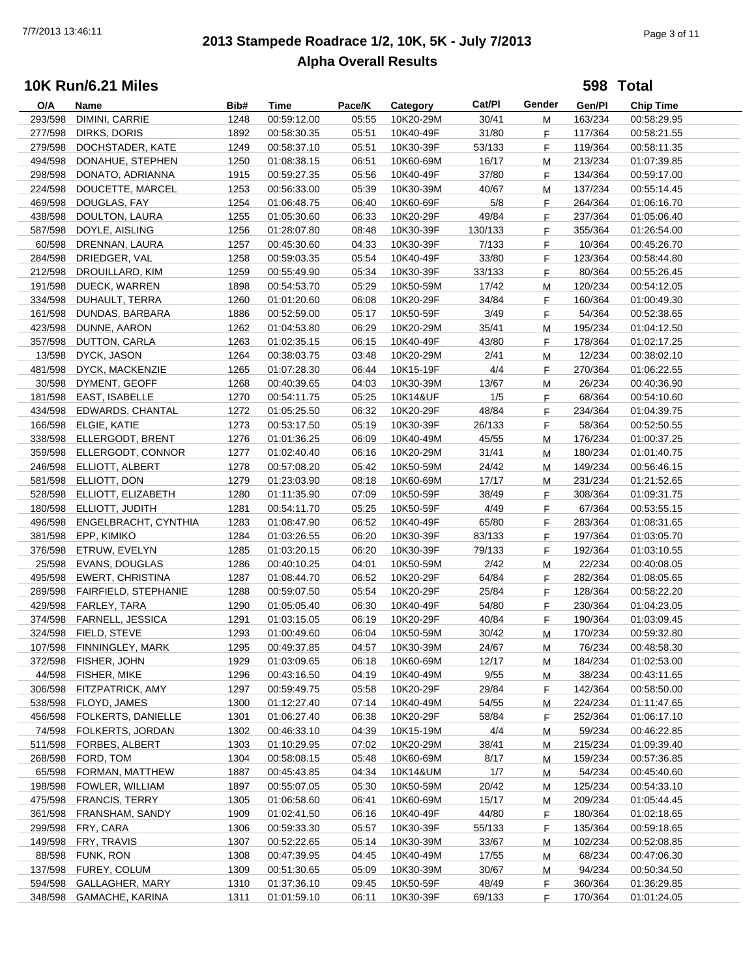# **2013 Stampede Roadrace 1/2, 10K, 5K - July 7/2013** 7/7/2013 13:46:11 Page 3 of 11 **Alpha Overall Results**

**598 Total**

| O/A     | Name                    | Bib# | Time        | Pace/K | Category  | Cat/PI  | Gender | Gen/Pl  | <b>Chip Time</b> |  |
|---------|-------------------------|------|-------------|--------|-----------|---------|--------|---------|------------------|--|
| 293/598 | DIMINI, CARRIE          | 1248 | 00:59:12.00 | 05:55  | 10K20-29M | 30/41   | М      | 163/234 | 00:58:29.95      |  |
| 277/598 | DIRKS, DORIS            | 1892 | 00:58:30.35 | 05:51  | 10K40-49F | 31/80   | F      | 117/364 | 00:58:21.55      |  |
| 279/598 | DOCHSTADER, KATE        | 1249 | 00:58:37.10 | 05:51  | 10K30-39F | 53/133  | F.     | 119/364 | 00:58:11.35      |  |
| 494/598 | DONAHUE, STEPHEN        | 1250 | 01:08:38.15 | 06:51  | 10K60-69M | 16/17   | м      | 213/234 | 01:07:39.85      |  |
| 298/598 | DONATO, ADRIANNA        | 1915 | 00:59:27.35 | 05:56  | 10K40-49F | 37/80   | F      | 134/364 | 00:59:17.00      |  |
| 224/598 | DOUCETTE, MARCEL        | 1253 | 00:56:33.00 | 05:39  | 10K30-39M | 40/67   |        | 137/234 | 00:55:14.45      |  |
|         |                         |      |             |        |           |         | M      |         |                  |  |
| 469/598 | DOUGLAS, FAY            | 1254 | 01:06:48.75 | 06:40  | 10K60-69F | 5/8     | F      | 264/364 | 01:06:16.70      |  |
| 438/598 | DOULTON, LAURA          | 1255 | 01:05:30.60 | 06:33  | 10K20-29F | 49/84   | F      | 237/364 | 01:05:06.40      |  |
| 587/598 | DOYLE, AISLING          | 1256 | 01:28:07.80 | 08:48  | 10K30-39F | 130/133 | F      | 355/364 | 01:26:54.00      |  |
| 60/598  | DRENNAN, LAURA          | 1257 | 00:45:30.60 | 04:33  | 10K30-39F | 7/133   | F.     | 10/364  | 00:45:26.70      |  |
| 284/598 | DRIEDGER, VAL           | 1258 | 00:59:03.35 | 05:54  | 10K40-49F | 33/80   | F.     | 123/364 | 00:58:44.80      |  |
| 212/598 | DROUILLARD, KIM         | 1259 | 00:55:49.90 | 05:34  | 10K30-39F | 33/133  | F      | 80/364  | 00:55:26.45      |  |
| 191/598 | DUECK, WARREN           | 1898 | 00:54:53.70 | 05:29  | 10K50-59M | 17/42   | м      | 120/234 | 00:54:12.05      |  |
| 334/598 | DUHAULT, TERRA          | 1260 | 01:01:20.60 | 06:08  | 10K20-29F | 34/84   | F      | 160/364 | 01:00:49.30      |  |
| 161/598 | DUNDAS, BARBARA         | 1886 | 00:52:59.00 | 05:17  | 10K50-59F | 3/49    | F      | 54/364  | 00:52:38.65      |  |
| 423/598 | DUNNE, AARON            | 1262 | 01:04:53.80 | 06:29  | 10K20-29M | 35/41   | M      | 195/234 | 01:04:12.50      |  |
| 357/598 | DUTTON, CARLA           | 1263 | 01:02:35.15 | 06:15  | 10K40-49F | 43/80   | F.     | 178/364 | 01:02:17.25      |  |
| 13/598  | DYCK, JASON             | 1264 | 00:38:03.75 | 03:48  | 10K20-29M | 2/41    | м      | 12/234  | 00:38:02.10      |  |
| 481/598 | DYCK, MACKENZIE         | 1265 | 01:07:28.30 | 06:44  | 10K15-19F | 4/4     |        | 270/364 | 01:06:22.55      |  |
|         |                         |      |             |        |           |         | F      |         |                  |  |
| 30/598  | DYMENT, GEOFF           | 1268 | 00:40:39.65 | 04:03  | 10K30-39M | 13/67   | м      | 26/234  | 00:40:36.90      |  |
| 181/598 | EAST, ISABELLE          | 1270 | 00:54:11.75 | 05:25  | 10K14&UF  | 1/5     | F      | 68/364  | 00:54:10.60      |  |
| 434/598 | EDWARDS, CHANTAL        | 1272 | 01:05:25.50 | 06:32  | 10K20-29F | 48/84   | F      | 234/364 | 01:04:39.75      |  |
| 166/598 | ELGIE, KATIE            | 1273 | 00:53:17.50 | 05:19  | 10K30-39F | 26/133  | F      | 58/364  | 00:52:50.55      |  |
| 338/598 | ELLERGODT, BRENT        | 1276 | 01:01:36.25 | 06:09  | 10K40-49M | 45/55   | M      | 176/234 | 01:00:37.25      |  |
| 359/598 | ELLERGODT, CONNOR       | 1277 | 01:02:40.40 | 06:16  | 10K20-29M | 31/41   | м      | 180/234 | 01:01:40.75      |  |
| 246/598 | ELLIOTT, ALBERT         | 1278 | 00:57:08.20 | 05:42  | 10K50-59M | 24/42   | М      | 149/234 | 00:56:46.15      |  |
| 581/598 | ELLIOTT, DON            | 1279 | 01:23:03.90 | 08:18  | 10K60-69M | 17/17   | м      | 231/234 | 01:21:52.65      |  |
| 528/598 | ELLIOTT, ELIZABETH      | 1280 | 01:11:35.90 | 07:09  | 10K50-59F | 38/49   | F      | 308/364 | 01:09:31.75      |  |
| 180/598 | ELLIOTT, JUDITH         | 1281 | 00:54:11.70 | 05:25  | 10K50-59F | 4/49    | F      | 67/364  | 00:53:55.15      |  |
| 496/598 | ENGELBRACHT, CYNTHIA    | 1283 | 01:08:47.90 | 06:52  | 10K40-49F | 65/80   | F      | 283/364 | 01:08:31.65      |  |
| 381/598 | EPP, KIMIKO             | 1284 | 01:03:26.55 | 06:20  | 10K30-39F | 83/133  | F      | 197/364 | 01:03:05.70      |  |
| 376/598 | ETRUW, EVELYN           | 1285 | 01:03:20.15 | 06:20  | 10K30-39F | 79/133  | F      | 192/364 | 01:03:10.55      |  |
|         |                         |      |             |        |           |         |        |         |                  |  |
| 25/598  | EVANS, DOUGLAS          | 1286 | 00:40:10.25 | 04:01  | 10K50-59M | 2/42    | M      | 22/234  | 00:40:08.05      |  |
| 495/598 | <b>EWERT, CHRISTINA</b> | 1287 | 01:08:44.70 | 06:52  | 10K20-29F | 64/84   | F      | 282/364 | 01:08:05.65      |  |
| 289/598 | FAIRFIELD, STEPHANIE    | 1288 | 00:59:07.50 | 05:54  | 10K20-29F | 25/84   | F      | 128/364 | 00:58:22.20      |  |
| 429/598 | FARLEY, TARA            | 1290 | 01:05:05.40 | 06:30  | 10K40-49F | 54/80   | F      | 230/364 | 01:04:23.05      |  |
| 374/598 | FARNELL, JESSICA        | 1291 | 01:03:15.05 | 06:19  | 10K20-29F | 40/84   | F      | 190/364 | 01:03:09.45      |  |
| 324/598 | FIELD, STEVE            | 1293 | 01:00:49.60 | 06:04  | 10K50-59M | 30/42   | M      | 170/234 | 00:59:32.80      |  |
| 107/598 | FINNINGLEY, MARK        | 1295 | 00:49:37.85 | 04:57  | 10K30-39M | 24/67   | M      | 76/234  | 00:48:58.30      |  |
|         | 372/598 FISHER, JOHN    | 1929 | 01:03:09.65 | 06:18  | 10K60-69M | 12/17   | M      | 184/234 | 01:02:53.00      |  |
| 44/598  | FISHER, MIKE            | 1296 | 00:43:16.50 | 04:19  | 10K40-49M | 9/55    | M      | 38/234  | 00:43:11.65      |  |
| 306/598 | FITZPATRICK, AMY        | 1297 | 00:59:49.75 | 05:58  | 10K20-29F | 29/84   | F.     | 142/364 | 00:58:50.00      |  |
| 538/598 | FLOYD, JAMES            | 1300 | 01:12:27.40 | 07:14  | 10K40-49M | 54/55   | M      | 224/234 | 01:11:47.65      |  |
| 456/598 | FOLKERTS, DANIELLE      | 1301 | 01:06:27.40 | 06:38  | 10K20-29F | 58/84   | F.     | 252/364 | 01:06:17.10      |  |
| 74/598  | FOLKERTS, JORDAN        | 1302 | 00:46:33.10 | 04:39  | 10K15-19M | 4/4     | M      | 59/234  | 00:46:22.85      |  |
| 511/598 | FORBES, ALBERT          | 1303 | 01:10:29.95 | 07:02  | 10K20-29M | 38/41   |        | 215/234 | 01:09:39.40      |  |
| 268/598 | FORD, TOM               |      | 00:58:08.15 | 05:48  | 10K60-69M |         | M      |         | 00:57:36.85      |  |
|         |                         | 1304 |             |        |           | 8/17    | M      | 159/234 |                  |  |
| 65/598  | FORMAN, MATTHEW         | 1887 | 00:45:43.85 | 04:34  | 10K14&UM  | 1/7     | M      | 54/234  | 00:45:40.60      |  |
| 198/598 | FOWLER, WILLIAM         | 1897 | 00:55:07.05 | 05:30  | 10K50-59M | 20/42   | M      | 125/234 | 00:54:33.10      |  |
| 475/598 | <b>FRANCIS, TERRY</b>   | 1305 | 01:06:58.60 | 06:41  | 10K60-69M | 15/17   | M      | 209/234 | 01:05:44.45      |  |
| 361/598 | FRANSHAM, SANDY         | 1909 | 01:02:41.50 | 06:16  | 10K40-49F | 44/80   | F      | 180/364 | 01:02:18.65      |  |
| 299/598 | FRY, CARA               | 1306 | 00:59:33.30 | 05:57  | 10K30-39F | 55/133  | F.     | 135/364 | 00:59:18.65      |  |
| 149/598 | FRY, TRAVIS             | 1307 | 00:52:22.65 | 05:14  | 10K30-39M | 33/67   | M      | 102/234 | 00:52:08.85      |  |
| 88/598  | FUNK, RON               | 1308 | 00:47:39.95 | 04:45  | 10K40-49M | 17/55   | M      | 68/234  | 00:47:06.30      |  |
| 137/598 | FUREY, COLUM            | 1309 | 00:51:30.65 | 05:09  | 10K30-39M | 30/67   | M      | 94/234  | 00:50:34.50      |  |
| 594/598 | GALLAGHER, MARY         | 1310 | 01:37:36.10 | 09:45  | 10K50-59F | 48/49   | F      | 360/364 | 01:36:29.85      |  |
| 348/598 | GAMACHE, KARINA         | 1311 | 01:01:59.10 | 06:11  | 10K30-39F | 69/133  | F.     | 170/364 | 01:01:24.05      |  |
|         |                         |      |             |        |           |         |        |         |                  |  |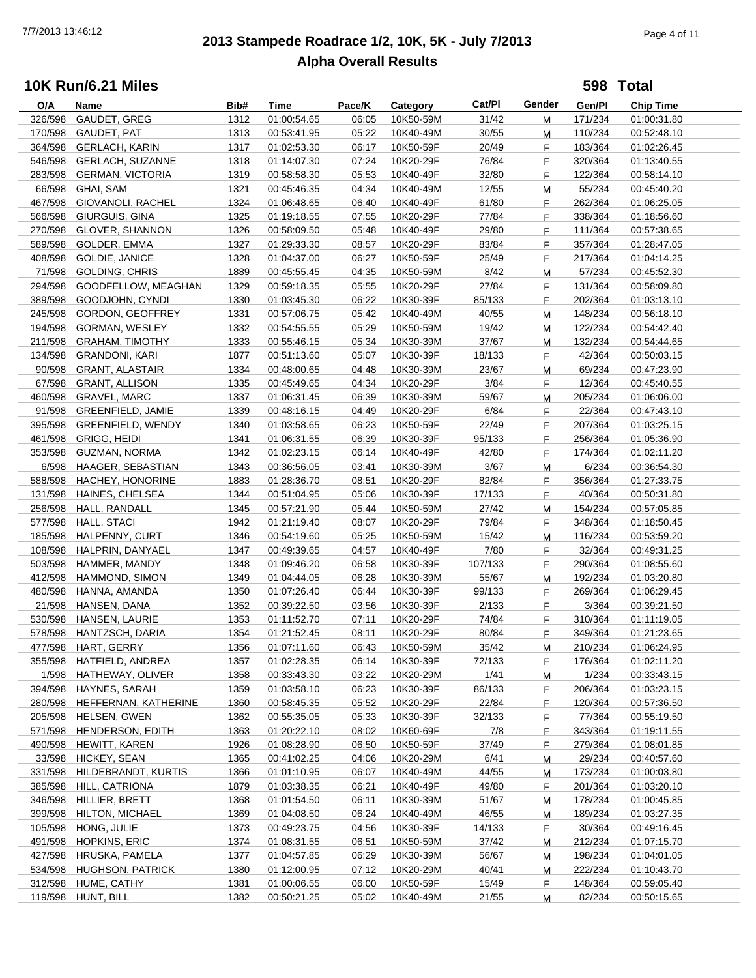# **2013 Stampede Roadrace 1/2, 10K, 5K - July 7/2013** 7/7/2013 13:46:12 Page 4 of 11 **Alpha Overall Results**

**598 Total**

| O/A     | Name                     | Bib# | <b>Time</b> | Pace/K | Category  | Cat/Pl  | Gender | Gen/Pl  | <b>Chip Time</b> |
|---------|--------------------------|------|-------------|--------|-----------|---------|--------|---------|------------------|
| 326/598 | GAUDET, GREG             | 1312 | 01:00:54.65 | 06:05  | 10K50-59M | 31/42   | M      | 171/234 | 01:00:31.80      |
| 170/598 | GAUDET, PAT              | 1313 | 00:53:41.95 | 05:22  | 10K40-49M | 30/55   | М      | 110/234 | 00:52:48.10      |
| 364/598 | <b>GERLACH, KARIN</b>    | 1317 | 01:02:53.30 | 06:17  | 10K50-59F | 20/49   | F      | 183/364 | 01:02:26.45      |
| 546/598 | <b>GERLACH, SUZANNE</b>  | 1318 | 01:14:07.30 | 07:24  | 10K20-29F | 76/84   | F      | 320/364 | 01:13:40.55      |
| 283/598 | <b>GERMAN, VICTORIA</b>  | 1319 | 00:58:58.30 | 05:53  | 10K40-49F | 32/80   | F      | 122/364 | 00:58:14.10      |
|         |                          |      |             |        |           |         |        |         |                  |
| 66/598  | GHAI, SAM                | 1321 | 00:45:46.35 | 04:34  | 10K40-49M | 12/55   | M      | 55/234  | 00:45:40.20      |
| 467/598 | GIOVANOLI, RACHEL        | 1324 | 01:06:48.65 | 06:40  | 10K40-49F | 61/80   | F      | 262/364 | 01:06:25.05      |
| 566/598 | GIURGUIS, GINA           | 1325 | 01:19:18.55 | 07:55  | 10K20-29F | 77/84   | F      | 338/364 | 01:18:56.60      |
| 270/598 | <b>GLOVER, SHANNON</b>   | 1326 | 00:58:09.50 | 05:48  | 10K40-49F | 29/80   | F      | 111/364 | 00:57:38.65      |
| 589/598 | GOLDER, EMMA             | 1327 | 01:29:33.30 | 08:57  | 10K20-29F | 83/84   | F      | 357/364 | 01:28:47.05      |
| 408/598 | GOLDIE, JANICE           | 1328 | 01:04:37.00 | 06:27  | 10K50-59F | 25/49   | F      | 217/364 | 01:04:14.25      |
| 71/598  | <b>GOLDING, CHRIS</b>    | 1889 | 00:45:55.45 | 04:35  | 10K50-59M | 8/42    | М      | 57/234  | 00:45:52.30      |
| 294/598 | GOODFELLOW, MEAGHAN      | 1329 | 00:59:18.35 | 05:55  | 10K20-29F | 27/84   | F      | 131/364 | 00:58:09.80      |
| 389/598 | GOODJOHN, CYNDI          | 1330 | 01:03:45.30 | 06:22  | 10K30-39F | 85/133  | F      | 202/364 | 01:03:13.10      |
| 245/598 | GORDON, GEOFFREY         | 1331 | 00:57:06.75 | 05:42  | 10K40-49M | 40/55   | М      | 148/234 | 00:56:18.10      |
| 194/598 | GORMAN, WESLEY           | 1332 | 00:54:55.55 | 05:29  | 10K50-59M | 19/42   | м      | 122/234 | 00:54:42.40      |
| 211/598 | <b>GRAHAM, TIMOTHY</b>   | 1333 | 00:55:46.15 | 05:34  | 10K30-39M | 37/67   | M      | 132/234 | 00:54:44.65      |
| 134/598 | <b>GRANDONI, KARI</b>    | 1877 | 00:51:13.60 | 05:07  | 10K30-39F | 18/133  | F      | 42/364  | 00:50:03.15      |
|         |                          |      |             |        |           |         |        |         |                  |
| 90/598  | <b>GRANT, ALASTAIR</b>   | 1334 | 00:48:00.65 | 04:48  | 10K30-39M | 23/67   | M      | 69/234  | 00:47:23.90      |
| 67/598  | <b>GRANT, ALLISON</b>    | 1335 | 00:45:49.65 | 04:34  | 10K20-29F | 3/84    | F      | 12/364  | 00:45:40.55      |
| 460/598 | GRAVEL, MARC             | 1337 | 01:06:31.45 | 06:39  | 10K30-39M | 59/67   | M      | 205/234 | 01:06:06.00      |
| 91/598  | <b>GREENFIELD, JAMIE</b> | 1339 | 00:48:16.15 | 04:49  | 10K20-29F | 6/84    | F      | 22/364  | 00:47:43.10      |
| 395/598 | GREENFIELD, WENDY        | 1340 | 01:03:58.65 | 06:23  | 10K50-59F | 22/49   | F      | 207/364 | 01:03:25.15      |
| 461/598 | <b>GRIGG, HEIDI</b>      | 1341 | 01:06:31.55 | 06:39  | 10K30-39F | 95/133  | F      | 256/364 | 01:05:36.90      |
| 353/598 | GUZMAN, NORMA            | 1342 | 01:02:23.15 | 06:14  | 10K40-49F | 42/80   | F      | 174/364 | 01:02:11.20      |
| 6/598   | HAAGER, SEBASTIAN        | 1343 | 00:36:56.05 | 03:41  | 10K30-39M | 3/67    | M      | 6/234   | 00:36:54.30      |
| 588/598 | HACHEY, HONORINE         | 1883 | 01:28:36.70 | 08:51  | 10K20-29F | 82/84   | F      | 356/364 | 01:27:33.75      |
| 131/598 | HAINES, CHELSEA          | 1344 | 00:51:04.95 | 05:06  | 10K30-39F | 17/133  | F      | 40/364  | 00:50:31.80      |
| 256/598 | HALL, RANDALL            | 1345 | 00:57:21.90 | 05:44  | 10K50-59M | 27/42   | M      | 154/234 | 00:57:05.85      |
| 577/598 | <b>HALL, STACI</b>       | 1942 | 01:21:19.40 | 08:07  | 10K20-29F | 79/84   | F      | 348/364 | 01:18:50.45      |
| 185/598 | HALPENNY, CURT           | 1346 | 00:54:19.60 | 05:25  | 10K50-59M | 15/42   |        | 116/234 | 00:53:59.20      |
|         |                          |      |             |        |           |         | M      |         |                  |
| 108/598 | HALPRIN, DANYAEL         | 1347 | 00:49:39.65 | 04:57  | 10K40-49F | 7/80    | F.     | 32/364  | 00:49:31.25      |
| 503/598 | HAMMER, MANDY            | 1348 | 01:09:46.20 | 06:58  | 10K30-39F | 107/133 | F      | 290/364 | 01:08:55.60      |
| 412/598 | HAMMOND, SIMON           | 1349 | 01:04:44.05 | 06:28  | 10K30-39M | 55/67   | М      | 192/234 | 01:03:20.80      |
| 480/598 | HANNA, AMANDA            | 1350 | 01:07:26.40 | 06:44  | 10K30-39F | 99/133  | F      | 269/364 | 01:06:29.45      |
| 21/598  | HANSEN, DANA             | 1352 | 00:39:22.50 | 03:56  | 10K30-39F | 2/133   | F      | 3/364   | 00:39:21.50      |
| 530/598 | HANSEN, LAURIE           | 1353 | 01:11:52.70 | 07:11  | 10K20-29F | 74/84   | F      | 310/364 | 01:11:19.05      |
| 578/598 | HANTZSCH, DARIA          | 1354 | 01:21:52.45 | 08:11  | 10K20-29F | 80/84   | F      | 349/364 | 01:21:23.65      |
| 477/598 | HART, GERRY              | 1356 | 01:07:11.60 | 06:43  | 10K50-59M | 35/42   | M      | 210/234 | 01:06:24.95      |
| 355/598 | HATFIELD, ANDREA         | 1357 | 01:02:28.35 | 06:14  | 10K30-39F | 72/133  | F      | 176/364 | 01:02:11.20      |
| 1/598   | HATHEWAY, OLIVER         | 1358 | 00:33:43.30 | 03:22  | 10K20-29M | 1/41    | M      | 1/234   | 00:33:43.15      |
| 394/598 | HAYNES, SARAH            | 1359 | 01:03:58.10 | 06:23  | 10K30-39F | 86/133  | F.     | 206/364 | 01:03:23.15      |
| 280/598 | HEFFERNAN, KATHERINE     | 1360 | 00:58:45.35 | 05:52  | 10K20-29F | 22/84   | F.     | 120/364 | 00:57:36.50      |
| 205/598 | HELSEN, GWEN             | 1362 | 00:55:35.05 | 05:33  | 10K30-39F | 32/133  | F.     | 77/364  | 00:55:19.50      |
| 571/598 | HENDERSON, EDITH         | 1363 | 01:20:22.10 | 08:02  | 10K60-69F | 7/8     |        | 343/364 | 01:19:11.55      |
|         |                          |      |             |        |           |         | F      |         |                  |
| 490/598 | HEWITT, KAREN            | 1926 | 01:08:28.90 | 06:50  | 10K50-59F | 37/49   | F      | 279/364 | 01:08:01.85      |
| 33/598  | HICKEY, SEAN             | 1365 | 00:41:02.25 | 04:06  | 10K20-29M | 6/41    | M      | 29/234  | 00:40:57.60      |
| 331/598 | HILDEBRANDT, KURTIS      | 1366 | 01:01:10.95 | 06:07  | 10K40-49M | 44/55   | M      | 173/234 | 01:00:03.80      |
| 385/598 | HILL, CATRIONA           | 1879 | 01:03:38.35 | 06:21  | 10K40-49F | 49/80   | F.     | 201/364 | 01:03:20.10      |
| 346/598 | HILLIER, BRETT           | 1368 | 01:01:54.50 | 06:11  | 10K30-39M | 51/67   | M      | 178/234 | 01:00:45.85      |
| 399/598 | HILTON, MICHAEL          | 1369 | 01:04:08.50 | 06:24  | 10K40-49M | 46/55   | M      | 189/234 | 01:03:27.35      |
| 105/598 | HONG, JULIE              | 1373 | 00:49:23.75 | 04:56  | 10K30-39F | 14/133  | F.     | 30/364  | 00:49:16.45      |
| 491/598 | <b>HOPKINS, ERIC</b>     | 1374 | 01:08:31.55 | 06:51  | 10K50-59M | 37/42   | M      | 212/234 | 01:07:15.70      |
| 427/598 | HRUSKA, PAMELA           | 1377 | 01:04:57.85 | 06:29  | 10K30-39M | 56/67   | M      | 198/234 | 01:04:01.05      |
| 534/598 | HUGHSON, PATRICK         | 1380 | 01:12:00.95 | 07:12  | 10K20-29M | 40/41   | M      | 222/234 | 01:10:43.70      |
| 312/598 | HUME, CATHY              | 1381 | 01:00:06.55 | 06:00  | 10K50-59F | 15/49   | F      | 148/364 | 00:59:05.40      |
| 119/598 | HUNT, BILL               | 1382 | 00:50:21.25 | 05:02  | 10K40-49M | 21/55   | M      | 82/234  | 00:50:15.65      |
|         |                          |      |             |        |           |         |        |         |                  |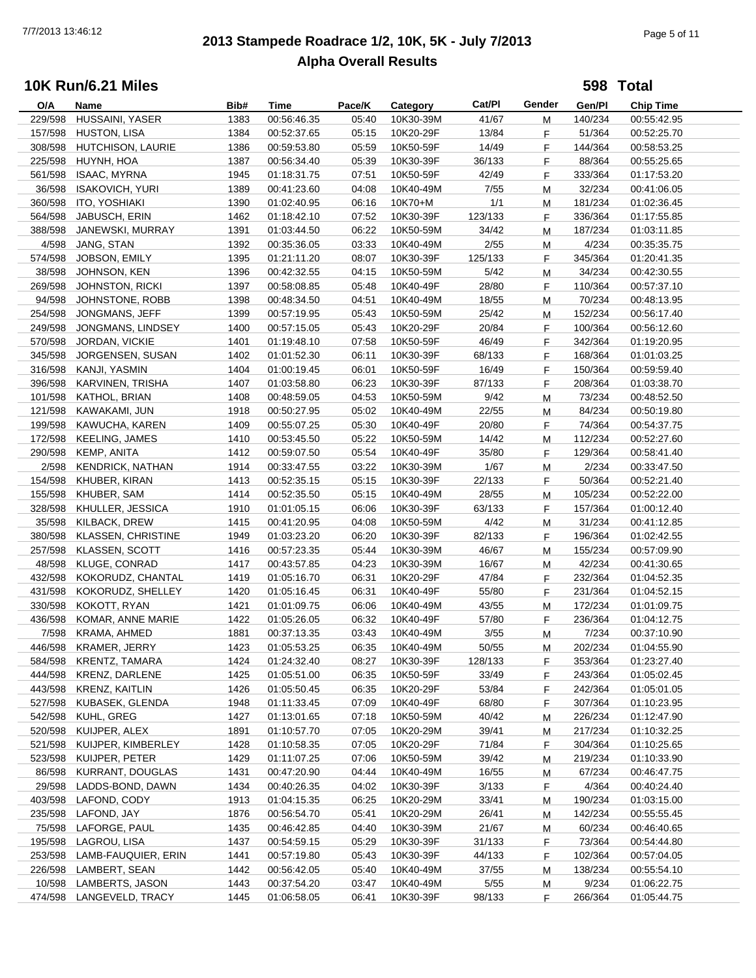# **2013 Stampede Roadrace 1/2, 10K, 5K - July 7/2013** 7/7/2013 13:46:12 Page 5 of 11 **Alpha Overall Results**

**598 Total**

| O/A     | Name                      | Bib# | Time        | Pace/K | Category  | Cat/PI  | Gender | Gen/Pl  | <b>Chip Time</b> |
|---------|---------------------------|------|-------------|--------|-----------|---------|--------|---------|------------------|
| 229/598 | HUSSAINI, YASER           | 1383 | 00:56:46.35 | 05:40  | 10K30-39M | 41/67   | М      | 140/234 | 00:55:42.95      |
| 157/598 | <b>HUSTON, LISA</b>       | 1384 | 00:52:37.65 | 05:15  | 10K20-29F | 13/84   | F      | 51/364  | 00:52:25.70      |
| 308/598 | HUTCHISON, LAURIE         | 1386 | 00:59:53.80 | 05:59  | 10K50-59F | 14/49   | F      | 144/364 | 00:58:53.25      |
| 225/598 | HUYNH, HOA                | 1387 | 00:56:34.40 | 05:39  | 10K30-39F | 36/133  | F      | 88/364  | 00:55:25.65      |
| 561/598 | <b>ISAAC, MYRNA</b>       | 1945 | 01:18:31.75 | 07:51  | 10K50-59F | 42/49   | F      | 333/364 | 01:17:53.20      |
| 36/598  | <b>ISAKOVICH, YURI</b>    | 1389 |             | 04:08  | 10K40-49M | 7/55    |        | 32/234  |                  |
|         |                           |      | 00:41:23.60 |        |           |         | M      |         | 00:41:06.05      |
| 360/598 | ITO, YOSHIAKI             | 1390 | 01:02:40.95 | 06:16  | 10K70+M   | 1/1     | M      | 181/234 | 01:02:36.45      |
| 564/598 | JABUSCH, ERIN             | 1462 | 01:18:42.10 | 07:52  | 10K30-39F | 123/133 | F      | 336/364 | 01:17:55.85      |
| 388/598 | JANEWSKI, MURRAY          | 1391 | 01:03:44.50 | 06:22  | 10K50-59M | 34/42   | M      | 187/234 | 01:03:11.85      |
| 4/598   | JANG, STAN                | 1392 | 00:35:36.05 | 03:33  | 10K40-49M | 2/55    | M      | 4/234   | 00:35:35.75      |
| 574/598 | JOBSON, EMILY             | 1395 | 01:21:11.20 | 08:07  | 10K30-39F | 125/133 | F.     | 345/364 | 01:20:41.35      |
| 38/598  | JOHNSON, KEN              | 1396 | 00:42:32.55 | 04:15  | 10K50-59M | 5/42    | М      | 34/234  | 00:42:30.55      |
| 269/598 | <b>JOHNSTON, RICKI</b>    | 1397 | 00:58:08.85 | 05:48  | 10K40-49F | 28/80   | F      | 110/364 | 00:57:37.10      |
| 94/598  | JOHNSTONE, ROBB           | 1398 | 00:48:34.50 | 04:51  | 10K40-49M | 18/55   | M      | 70/234  | 00:48:13.95      |
| 254/598 | JONGMANS, JEFF            | 1399 | 00:57:19.95 | 05:43  | 10K50-59M | 25/42   | M      | 152/234 | 00:56:17.40      |
| 249/598 | JONGMANS, LINDSEY         | 1400 | 00:57:15.05 | 05:43  | 10K20-29F | 20/84   | F      | 100/364 | 00:56:12.60      |
| 570/598 | JORDAN, VICKIE            | 1401 | 01:19:48.10 | 07:58  | 10K50-59F | 46/49   | F      | 342/364 | 01:19:20.95      |
| 345/598 | JORGENSEN, SUSAN          | 1402 | 01:01:52.30 | 06:11  | 10K30-39F | 68/133  | F.     | 168/364 | 01:01:03.25      |
| 316/598 | KANJI, YASMIN             | 1404 | 01:00:19.45 | 06:01  | 10K50-59F | 16/49   | F.     | 150/364 | 00:59:59.40      |
| 396/598 | KARVINEN, TRISHA          | 1407 | 01:03:58.80 | 06:23  | 10K30-39F | 87/133  | F      | 208/364 | 01:03:38.70      |
|         |                           |      |             |        |           |         |        |         |                  |
| 101/598 | KATHOL, BRIAN             | 1408 | 00:48:59.05 | 04:53  | 10K50-59M | 9/42    | м      | 73/234  | 00:48:52.50      |
| 121/598 | KAWAKAMI, JUN             | 1918 | 00:50:27.95 | 05:02  | 10K40-49M | 22/55   | M      | 84/234  | 00:50:19.80      |
| 199/598 | KAWUCHA, KAREN            | 1409 | 00:55:07.25 | 05:30  | 10K40-49F | 20/80   | F      | 74/364  | 00:54:37.75      |
| 172/598 | <b>KEELING, JAMES</b>     | 1410 | 00:53:45.50 | 05:22  | 10K50-59M | 14/42   | M      | 112/234 | 00:52:27.60      |
| 290/598 | KEMP, ANITA               | 1412 | 00:59:07.50 | 05:54  | 10K40-49F | 35/80   | F      | 129/364 | 00:58:41.40      |
| 2/598   | KENDRICK, NATHAN          | 1914 | 00:33:47.55 | 03:22  | 10K30-39M | 1/67    | M      | 2/234   | 00:33:47.50      |
| 154/598 | KHUBER, KIRAN             | 1413 | 00:52:35.15 | 05:15  | 10K30-39F | 22/133  | F      | 50/364  | 00:52:21.40      |
| 155/598 | KHUBER, SAM               | 1414 | 00:52:35.50 | 05:15  | 10K40-49M | 28/55   | М      | 105/234 | 00:52:22.00      |
| 328/598 | KHULLER, JESSICA          | 1910 | 01:01:05.15 | 06:06  | 10K30-39F | 63/133  | F      | 157/364 | 01:00:12.40      |
| 35/598  | KILBACK, DREW             | 1415 | 00:41:20.95 | 04:08  | 10K50-59M | 4/42    | M      | 31/234  | 00:41:12.85      |
| 380/598 | <b>KLASSEN, CHRISTINE</b> | 1949 | 01:03:23.20 | 06:20  | 10K30-39F | 82/133  | F      | 196/364 | 01:02:42.55      |
| 257/598 | KLASSEN, SCOTT            | 1416 | 00:57:23.35 | 05:44  | 10K30-39M | 46/67   | M      | 155/234 | 00:57:09.90      |
| 48/598  | KLUGE, CONRAD             | 1417 | 00:43:57.85 | 04:23  | 10K30-39M | 16/67   | м      | 42/234  | 00:41:30.65      |
| 432/598 | KOKORUDZ, CHANTAL         | 1419 | 01:05:16.70 | 06:31  | 10K20-29F | 47/84   | F      | 232/364 | 01:04:52.35      |
| 431/598 | KOKORUDZ, SHELLEY         | 1420 | 01:05:16.45 | 06:31  | 10K40-49F | 55/80   | F      | 231/364 | 01:04:52.15      |
| 330/598 | KOKOTT, RYAN              | 1421 | 01:01:09.75 | 06:06  | 10K40-49M | 43/55   |        | 172/234 | 01:01:09.75      |
|         |                           |      |             |        |           |         | M      |         |                  |
| 436/598 | KOMAR, ANNE MARIE         | 1422 | 01:05:26.05 | 06:32  | 10K40-49F | 57/80   | F      | 236/364 | 01:04:12.75      |
| 7/598   | KRAMA, AHMED              | 1881 | 00:37:13.35 | 03:43  | 10K40-49M | 3/55    | M      | 7/234   | 00:37:10.90      |
| 446/598 | <b>KRAMER, JERRY</b>      | 1423 | 01:05:53.25 | 06:35  | 10K40-49M | 50/55   | M      | 202/234 | 01:04:55.90      |
|         | 584/598 KRENTZ, TAMARA    | 1424 | 01:24:32.40 | 08:27  | 10K30-39F | 128/133 | F      | 353/364 | 01:23:27.40      |
| 444/598 | KRENZ, DARLENE            | 1425 | 01:05:51.00 | 06:35  | 10K50-59F | 33/49   | F      | 243/364 | 01:05:02.45      |
| 443/598 | KRENZ, KAITLIN            | 1426 | 01:05:50.45 | 06:35  | 10K20-29F | 53/84   | F.     | 242/364 | 01:05:01.05      |
| 527/598 | KUBASEK, GLENDA           | 1948 | 01:11:33.45 | 07:09  | 10K40-49F | 68/80   | F      | 307/364 | 01:10:23.95      |
| 542/598 | KUHL, GREG                | 1427 | 01:13:01.65 | 07:18  | 10K50-59M | 40/42   | M      | 226/234 | 01:12:47.90      |
| 520/598 | KUIJPER, ALEX             | 1891 | 01:10:57.70 | 07:05  | 10K20-29M | 39/41   | M      | 217/234 | 01:10:32.25      |
| 521/598 | KUIJPER, KIMBERLEY        | 1428 | 01:10:58.35 | 07:05  | 10K20-29F | 71/84   | F      | 304/364 | 01:10:25.65      |
| 523/598 | KUIJPER, PETER            | 1429 | 01:11:07.25 | 07:06  | 10K50-59M | 39/42   | M      | 219/234 | 01:10:33.90      |
| 86/598  | KURRANT, DOUGLAS          | 1431 | 00:47:20.90 | 04:44  | 10K40-49M | 16/55   | M      | 67/234  | 00:46:47.75      |
| 29/598  | LADDS-BOND, DAWN          | 1434 | 00:40:26.35 | 04:02  | 10K30-39F | 3/133   | F      | 4/364   | 00:40:24.40      |
| 403/598 | LAFOND, CODY              | 1913 | 01:04:15.35 | 06:25  | 10K20-29M | 33/41   |        | 190/234 | 01:03:15.00      |
|         |                           |      | 00:56:54.70 |        |           |         | M      |         |                  |
| 235/598 | LAFOND, JAY               | 1876 |             | 05:41  | 10K20-29M | 26/41   | M      | 142/234 | 00:55:55.45      |
| 75/598  | LAFORGE, PAUL             | 1435 | 00:46:42.85 | 04:40  | 10K30-39M | 21/67   | M      | 60/234  | 00:46:40.65      |
| 195/598 | LAGROU, LISA              | 1437 | 00:54:59.15 | 05:29  | 10K30-39F | 31/133  | F.     | 73/364  | 00:54:44.80      |
| 253/598 | LAMB-FAUQUIER, ERIN       | 1441 | 00:57:19.80 | 05:43  | 10K30-39F | 44/133  | F      | 102/364 | 00:57:04.05      |
| 226/598 | LAMBERT, SEAN             | 1442 | 00:56:42.05 | 05:40  | 10K40-49M | 37/55   | M      | 138/234 | 00:55:54.10      |
| 10/598  | LAMBERTS, JASON           | 1443 | 00:37:54.20 | 03:47  | 10K40-49M | 5/55    | M      | 9/234   | 01:06:22.75      |
| 474/598 | LANGEVELD, TRACY          | 1445 | 01:06:58.05 | 06:41  | 10K30-39F | 98/133  | F      | 266/364 | 01:05:44.75      |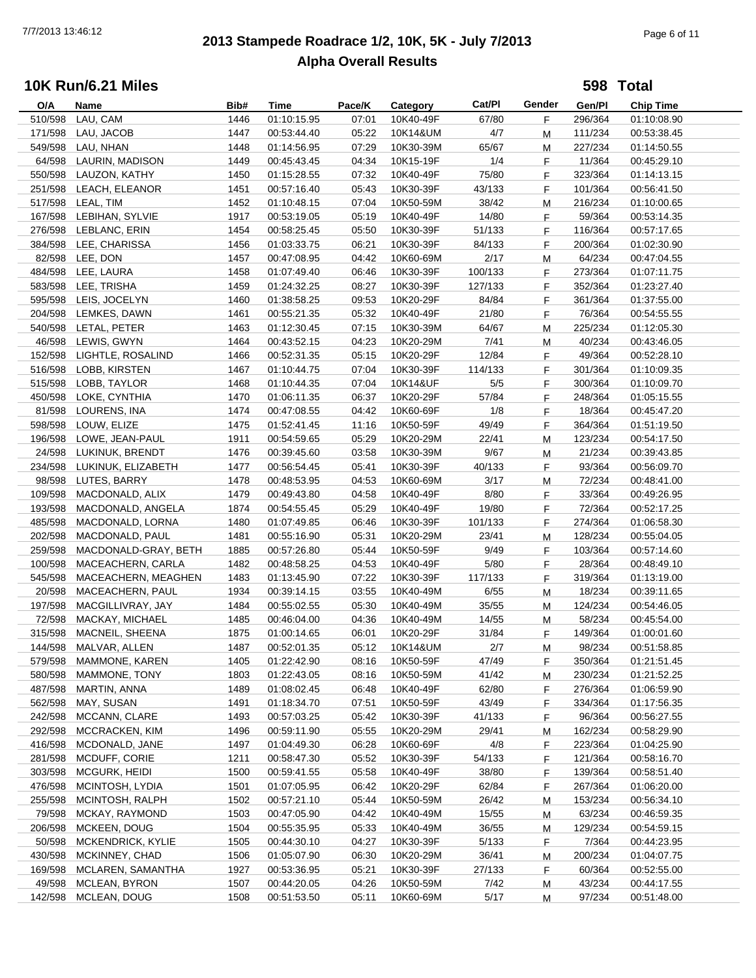# **2013 Stampede Roadrace 1/2, 10K, 5K - July 7/2013** 7/7/2013 13:46:12 Page 6 of 11 **Alpha Overall Results**

|                   | <b>10K Run/6.21 Miles</b>             |      |             |        |                  |         |        |                   | 598 Total        |
|-------------------|---------------------------------------|------|-------------|--------|------------------|---------|--------|-------------------|------------------|
| O/A               | Name                                  | Bib# | Time        | Pace/K | Category         | Cat/PI  | Gender | Gen/Pl            | <b>Chip Time</b> |
| 510/598           | LAU, CAM                              | 1446 | 01:10:15.95 | 07:01  | 10K40-49F        | 67/80   | F.     | 296/364           | 01:10:08.90      |
| 171/598           | LAU, JACOB                            | 1447 | 00:53:44.40 | 05:22  | 10K14&UM         | 4/7     | М      | 111/234           | 00:53:38.45      |
| 549/598           | LAU, NHAN                             | 1448 | 01:14:56.95 | 07:29  | 10K30-39M        | 65/67   | М      | 227/234           | 01:14:50.55      |
| 64/598            | LAURIN, MADISON                       | 1449 | 00:45:43.45 | 04:34  | 10K15-19F        | 1/4     | F      | 11/364            | 00:45:29.10      |
| 550/598           | LAUZON, KATHY                         | 1450 | 01:15:28.55 | 07:32  | 10K40-49F        | 75/80   | F      | 323/364           | 01:14:13.15      |
|                   | 251/598 LEACH, ELEANOR                | 1451 | 00:57:16.40 | 05:43  | 10K30-39F        | 43/133  | F      | 101/364           | 00:56:41.50      |
| 517/598           | LEAL, TIM                             | 1452 | 01:10:48.15 | 07:04  | 10K50-59M        | 38/42   | M      | 216/234           | 01:10:00.65      |
| 167/598           | LEBIHAN, SYLVIE                       | 1917 | 00:53:19.05 | 05:19  | 10K40-49F        | 14/80   | F      | 59/364            | 00:53:14.35      |
| 276/598           | LEBLANC, ERIN                         | 1454 | 00:58:25.45 | 05:50  | 10K30-39F        | 51/133  | F      | 116/364           | 00:57:17.65      |
|                   | 384/598 LEE, CHARISSA                 | 1456 | 01:03:33.75 | 06:21  | 10K30-39F        | 84/133  | F      | 200/364           | 01:02:30.90      |
|                   | 82/598 LEE, DON                       | 1457 | 00:47:08.95 | 04:42  | 10K60-69M        | 2/17    | М      | 64/234            | 00:47:04.55      |
| 484/598           | LEE, LAURA                            | 1458 | 01:07:49.40 | 06:46  | 10K30-39F        | 100/133 | F      | 273/364           | 01:07:11.75      |
| 583/598           | LEE, TRISHA                           | 1459 | 01:24:32.25 | 08:27  | 10K30-39F        | 127/133 | F      | 352/364           | 01:23:27.40      |
| 595/598           | LEIS, JOCELYN                         | 1460 | 01:38:58.25 | 09:53  | 10K20-29F        | 84/84   | F      | 361/364           | 01:37:55.00      |
| 204/598           | LEMKES, DAWN                          | 1461 | 00:55:21.35 | 05:32  | 10K40-49F        | 21/80   | F      | 76/364            | 00:54:55.55      |
|                   | 540/598 LETAL, PETER                  | 1463 | 01:12:30.45 | 07:15  | 10K30-39M        | 64/67   | M      | 225/234           | 01:12:05.30      |
| 46/598            | LEWIS, GWYN                           | 1464 | 00:43:52.15 | 04:23  | 10K20-29M        | 7/41    | М      | 40/234            | 00:43:46.05      |
| 152/598           | LIGHTLE, ROSALIND                     | 1466 | 00:52:31.35 | 05:15  | 10K20-29F        | 12/84   | F      | 49/364            | 00:52:28.10      |
| 516/598           | LOBB, KIRSTEN                         | 1467 | 01:10:44.75 | 07:04  | 10K30-39F        | 114/133 | F      | 301/364           | 01:10:09.35      |
| 515/598           | LOBB, TAYLOR                          | 1468 | 01:10:44.35 | 07:04  | 10K14&UF         | 5/5     | F      | 300/364           | 01:10:09.70      |
| 450/598           | LOKE, CYNTHIA                         | 1470 | 01:06:11.35 | 06:37  | 10K20-29F        | 57/84   | F      | 248/364           | 01:05:15.55      |
| 81/598            | LOURENS, INA                          | 1474 | 00:47:08.55 | 04:42  | 10K60-69F        | 1/8     | F      | 18/364            | 00:45:47.20      |
| 598/598           | LOUW, ELIZE                           | 1475 | 01:52:41.45 | 11:16  | 10K50-59F        | 49/49   | F      | 364/364           | 01:51:19.50      |
| 196/598           | LOWE, JEAN-PAUL                       | 1911 | 00:54:59.65 | 05:29  | 10K20-29M        | 22/41   | M      | 123/234           | 00:54:17.50      |
| 24/598            | LUKINUK, BRENDT                       | 1476 | 00:39:45.60 | 03:58  | 10K30-39M        | 9/67    | М      | 21/234            | 00:39:43.85      |
| 234/598           | LUKINUK, ELIZABETH                    | 1477 | 00:56:54.45 | 05:41  | 10K30-39F        | 40/133  | F.     | 93/364            | 00:56:09.70      |
| 98/598            | LUTES, BARRY                          | 1478 | 00:48:53.95 | 04:53  | 10K60-69M        | 3/17    | М      | 72/234            | 00:48:41.00      |
| 109/598           | MACDONALD, ALIX                       | 1479 | 00:49:43.80 | 04:58  | 10K40-49F        | 8/80    | F      | 33/364            | 00:49:26.95      |
| 193/598           | MACDONALD, ANGELA                     | 1874 | 00:54:55.45 | 05:29  | 10K40-49F        | 19/80   | F      | 72/364            | 00:52:17.25      |
| 485/598           | MACDONALD, LORNA                      | 1480 | 01:07:49.85 | 06:46  | 10K30-39F        | 101/133 | F      | 274/364           | 01:06:58.30      |
| 202/598           | MACDONALD, PAUL                       | 1481 | 00:55:16.90 | 05:31  | 10K20-29M        | 23/41   |        | 128/234           |                  |
| 259/598           | MACDONALD-GRAY, BETH                  | 1885 |             | 05:44  | 10K50-59F        | 9/49    | М<br>F | 103/364           | 00:55:04.05      |
| 100/598           | MACEACHERN, CARLA                     | 1482 | 00:57:26.80 | 04:53  | 10K40-49F        | 5/80    |        |                   | 00:57:14.60      |
|                   |                                       |      | 00:48:58.25 |        |                  |         | F      | 28/364<br>319/364 | 00:48:49.10      |
| 545/598           | MACEACHERN, MEAGHEN                   | 1483 | 01:13:45.90 | 07:22  | 10K30-39F        | 117/133 | F      |                   | 01:13:19.00      |
| 20/598            | MACEACHERN, PAUL<br>MACGILLIVRAY, JAY | 1934 | 00:39:14.15 | 03:55  | 10K40-49M        | 6/55    | М      | 18/234            | 00:39:11.65      |
| 197/598<br>72/598 |                                       | 1484 | 00:55:02.55 | 05:30  | 10K40-49M        | 35/55   | М      | 124/234           | 00:54:46.05      |
|                   | MACKAY, MICHAEL                       | 1485 | 00:46:04.00 | 04:36  | 10K40-49M        | 14/55   | м      | 58/234            | 00:45:54.00      |
|                   | 315/598 MACNEIL, SHEENA               | 1875 | 01:00:14.65 |        | 06:01  10K20-29F | 31/84   |        | 149/364           | 01:00:01.60      |
| 144/598           | MALVAR, ALLEN                         | 1487 | 00:52:01.35 | 05:12  | 10K14&UM         | 2/7     | M      | 98/234            | 00:51:58.85      |
| 579/598           | MAMMONE, KAREN                        | 1405 | 01:22:42.90 | 08:16  | 10K50-59F        | 47/49   | F      | 350/364           | 01:21:51.45      |
| 580/598           | MAMMONE, TONY                         | 1803 | 01:22:43.05 | 08:16  | 10K50-59M        | 41/42   | M      | 230/234           | 01:21:52.25      |
| 487/598           | MARTIN, ANNA                          | 1489 | 01:08:02.45 | 06:48  | 10K40-49F        | 62/80   | F      | 276/364           | 01:06:59.90      |
| 562/598           | MAY, SUSAN                            | 1491 | 01:18:34.70 | 07:51  | 10K50-59F        | 43/49   | F      | 334/364           | 01:17:56.35      |
| 242/598           | MCCANN, CLARE                         | 1493 | 00:57:03.25 | 05:42  | 10K30-39F        | 41/133  | F      | 96/364            | 00:56:27.55      |
| 292/598           | MCCRACKEN, KIM                        | 1496 | 00:59:11.90 | 05:55  | 10K20-29M        | 29/41   | M      | 162/234           | 00:58:29.90      |
| 416/598           | MCDONALD, JANE                        | 1497 | 01:04:49.30 | 06:28  | 10K60-69F        | 4/8     | F      | 223/364           | 01:04:25.90      |
| 281/598           | MCDUFF, CORIE                         | 1211 | 00:58:47.30 | 05:52  | 10K30-39F        | 54/133  | F      | 121/364           | 00:58:16.70      |
| 303/598           | MCGURK, HEIDI                         | 1500 | 00:59:41.55 | 05:58  | 10K40-49F        | 38/80   | F      | 139/364           | 00:58:51.40      |
| 476/598           | MCINTOSH, LYDIA                       | 1501 | 01:07:05.95 | 06:42  | 10K20-29F        | 62/84   | F      | 267/364           | 01:06:20.00      |
| 255/598           | MCINTOSH, RALPH                       | 1502 | 00:57:21.10 | 05:44  | 10K50-59M        | 26/42   | M      | 153/234           | 00:56:34.10      |
| 79/598            | MCKAY, RAYMOND                        | 1503 | 00:47:05.90 | 04:42  | 10K40-49M        | 15/55   | М      | 63/234            | 00:46:59.35      |
| 206/598           | MCKEEN, DOUG                          | 1504 | 00:55:35.95 | 05:33  | 10K40-49M        | 36/55   | M      | 129/234           | 00:54:59.15      |
| 50/598            | MCKENDRICK, KYLIE                     | 1505 | 00:44:30.10 | 04:27  | 10K30-39F        | 5/133   | F.     | 7/364             | 00:44:23.95      |
| 430/598           | MCKINNEY, CHAD                        | 1506 | 01:05:07.90 | 06:30  | 10K20-29M        | 36/41   | M      | 200/234           | 01:04:07.75      |
| 169/598           | MCLAREN, SAMANTHA                     | 1927 | 00:53:36.95 | 05:21  | 10K30-39F        | 27/133  | F      | 60/364            | 00:52:55.00      |
| 49/598            | MCLEAN, BYRON                         | 1507 | 00:44:20.05 | 04:26  | 10K50-59M        | 7/42    | M      | 43/234            | 00:44:17.55      |
| 142/598           | MCLEAN, DOUG                          | 1508 | 00:51:53.50 | 05:11  | 10K60-69M        | 5/17    | M      | 97/234            | 00:51:48.00      |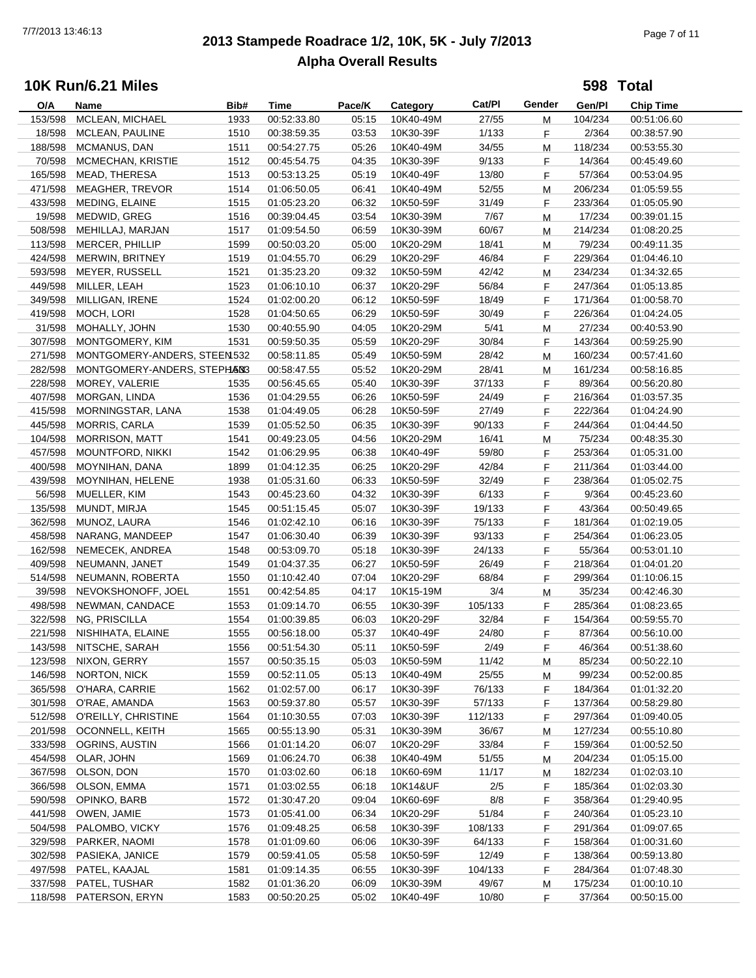# **2013 Stampede Roadrace 1/2, 10K, 5K - July 7/2013** 7/7/2013 13:46:13 Page 7 of 11 **Alpha Overall Results**

**598 Total**

| O/A     | Name                         | Bib# | <b>Time</b> | Pace/K | Category  | Cat/Pl  | Gender | Gen/Pl  | <b>Chip Time</b> |
|---------|------------------------------|------|-------------|--------|-----------|---------|--------|---------|------------------|
| 153/598 | MCLEAN, MICHAEL              | 1933 | 00:52:33.80 | 05:15  | 10K40-49M | 27/55   | M      | 104/234 | 00:51:06.60      |
| 18/598  | MCLEAN, PAULINE              | 1510 | 00:38:59.35 | 03:53  | 10K30-39F | 1/133   | F      | 2/364   | 00:38:57.90      |
| 188/598 | MCMANUS, DAN                 | 1511 | 00:54:27.75 | 05:26  | 10K40-49M | 34/55   | М      | 118/234 | 00:53:55.30      |
| 70/598  | MCMECHAN, KRISTIE            | 1512 | 00:45:54.75 | 04:35  | 10K30-39F | 9/133   | F      | 14/364  | 00:45:49.60      |
| 165/598 | MEAD, THERESA                | 1513 | 00:53:13.25 | 05:19  | 10K40-49F | 13/80   | F      | 57/364  | 00:53:04.95      |
| 471/598 | <b>MEAGHER, TREVOR</b>       | 1514 | 01:06:50.05 | 06:41  | 10K40-49M | 52/55   |        | 206/234 | 01:05:59.55      |
|         |                              |      |             |        |           |         | M      |         |                  |
| 433/598 | MEDING, ELAINE               | 1515 | 01:05:23.20 | 06:32  | 10K50-59F | 31/49   | F      | 233/364 | 01:05:05.90      |
| 19/598  | MEDWID, GREG                 | 1516 | 00:39:04.45 | 03:54  | 10K30-39M | 7/67    | M      | 17/234  | 00:39:01.15      |
| 508/598 | MEHILLAJ, MARJAN             | 1517 | 01:09:54.50 | 06:59  | 10K30-39M | 60/67   | М      | 214/234 | 01:08:20.25      |
| 113/598 | MERCER, PHILLIP              | 1599 | 00:50:03.20 | 05:00  | 10K20-29M | 18/41   | М      | 79/234  | 00:49:11.35      |
| 424/598 | MERWIN, BRITNEY              | 1519 | 01:04:55.70 | 06:29  | 10K20-29F | 46/84   | F      | 229/364 | 01:04:46.10      |
| 593/598 | MEYER, RUSSELL               | 1521 | 01:35:23.20 | 09:32  | 10K50-59M | 42/42   | М      | 234/234 | 01:34:32.65      |
| 449/598 | MILLER, LEAH                 | 1523 | 01:06:10.10 | 06:37  | 10K20-29F | 56/84   | F      | 247/364 | 01:05:13.85      |
| 349/598 | MILLIGAN, IRENE              | 1524 | 01:02:00.20 | 06:12  | 10K50-59F | 18/49   | F      | 171/364 | 01:00:58.70      |
| 419/598 | MOCH, LORI                   | 1528 | 01:04:50.65 | 06:29  | 10K50-59F | 30/49   | F      | 226/364 | 01:04:24.05      |
| 31/598  | MOHALLY, JOHN                | 1530 | 00:40:55.90 | 04:05  | 10K20-29M | 5/41    | M      | 27/234  | 00:40:53.90      |
| 307/598 | MONTGOMERY, KIM              | 1531 | 00:59:50.35 | 05:59  | 10K20-29F | 30/84   | F      | 143/364 | 00:59:25.90      |
| 271/598 | MONTGOMERY-ANDERS, STEEN 532 |      | 00:58:11.85 | 05:49  | 10K50-59M | 28/42   | М      | 160/234 | 00:57:41.60      |
| 282/598 | MONTGOMERY-ANDERS, STEPHANS  |      | 00:58:47.55 | 05:52  | 10K20-29M | 28/41   | М      | 161/234 | 00:58:16.85      |
| 228/598 | MOREY, VALERIE               | 1535 | 00:56:45.65 | 05:40  | 10K30-39F | 37/133  | F      | 89/364  | 00:56:20.80      |
| 407/598 | MORGAN, LINDA                | 1536 | 01:04:29.55 | 06:26  | 10K50-59F | 24/49   | F      | 216/364 | 01:03:57.35      |
|         |                              |      |             |        |           |         |        |         |                  |
| 415/598 | MORNINGSTAR, LANA            | 1538 | 01:04:49.05 | 06:28  | 10K50-59F | 27/49   | F      | 222/364 | 01:04:24.90      |
| 445/598 | <b>MORRIS, CARLA</b>         | 1539 | 01:05:52.50 | 06:35  | 10K30-39F | 90/133  | F      | 244/364 | 01:04:44.50      |
| 104/598 | <b>MORRISON, MATT</b>        | 1541 | 00:49:23.05 | 04:56  | 10K20-29M | 16/41   | M      | 75/234  | 00:48:35.30      |
| 457/598 | MOUNTFORD, NIKKI             | 1542 | 01:06:29.95 | 06:38  | 10K40-49F | 59/80   | F      | 253/364 | 01:05:31.00      |
| 400/598 | MOYNIHAN, DANA               | 1899 | 01:04:12.35 | 06:25  | 10K20-29F | 42/84   | F      | 211/364 | 01:03:44.00      |
| 439/598 | MOYNIHAN, HELENE             | 1938 | 01:05:31.60 | 06:33  | 10K50-59F | 32/49   | F      | 238/364 | 01:05:02.75      |
| 56/598  | MUELLER, KIM                 | 1543 | 00:45:23.60 | 04:32  | 10K30-39F | 6/133   | F      | 9/364   | 00:45:23.60      |
| 135/598 | MUNDT, MIRJA                 | 1545 | 00:51:15.45 | 05:07  | 10K30-39F | 19/133  | F      | 43/364  | 00:50:49.65      |
| 362/598 | MUNOZ, LAURA                 | 1546 | 01:02:42.10 | 06:16  | 10K30-39F | 75/133  | F      | 181/364 | 01:02:19.05      |
| 458/598 | NARANG, MANDEEP              | 1547 | 01:06:30.40 | 06:39  | 10K30-39F | 93/133  | F      | 254/364 | 01:06:23.05      |
| 162/598 | NEMECEK, ANDREA              | 1548 | 00:53:09.70 | 05:18  | 10K30-39F | 24/133  | F.     | 55/364  | 00:53:01.10      |
| 409/598 | NEUMANN, JANET               | 1549 | 01:04:37.35 | 06:27  | 10K50-59F | 26/49   | F      | 218/364 | 01:04:01.20      |
| 514/598 | NEUMANN, ROBERTA             | 1550 | 01:10:42.40 | 07:04  | 10K20-29F | 68/84   | F      | 299/364 | 01:10:06.15      |
| 39/598  | NEVOKSHONOFF, JOEL           | 1551 | 00:42:54.85 | 04:17  | 10K15-19M | 3/4     | M      | 35/234  | 00:42:46.30      |
| 498/598 | NEWMAN, CANDACE              | 1553 | 01:09:14.70 | 06:55  | 10K30-39F | 105/133 | F      | 285/364 | 01:08:23.65      |
| 322/598 | NG, PRISCILLA                | 1554 | 01:00:39.85 | 06:03  | 10K20-29F | 32/84   | F      | 154/364 | 00:59:55.70      |
| 221/598 |                              | 1555 | 00:56:18.00 | 05:37  |           | 24/80   |        | 87/364  |                  |
|         | NISHIHATA, ELAINE            |      |             |        | 10K40-49F |         | F      |         | 00:56:10.00      |
| 143/598 | NITSCHE, SARAH               | 1556 | 00:51:54.30 | 05:11  | 10K50-59F | 2/49    | F      | 46/364  | 00:51:38.60      |
| 123/598 | NIXON, GERRY                 | 1557 | 00:50:35.15 | 05:03  | 10K50-59M | 11/42   | M      | 85/234  | 00:50:22.10      |
| 146/598 | NORTON, NICK                 | 1559 | 00:52:11.05 | 05:13  | 10K40-49M | 25/55   | M      | 99/234  | 00:52:00.85      |
| 365/598 | O'HARA, CARRIE               | 1562 | 01:02:57.00 | 06:17  | 10K30-39F | 76/133  | F      | 184/364 | 01:01:32.20      |
| 301/598 | O'RAE, AMANDA                | 1563 | 00:59:37.80 | 05:57  | 10K30-39F | 57/133  | F      | 137/364 | 00:58:29.80      |
| 512/598 | O'REILLY, CHRISTINE          | 1564 | 01:10:30.55 | 07:03  | 10K30-39F | 112/133 | F      | 297/364 | 01:09:40.05      |
| 201/598 | <b>OCONNELL, KEITH</b>       | 1565 | 00:55:13.90 | 05:31  | 10K30-39M | 36/67   | M      | 127/234 | 00:55:10.80      |
| 333/598 | OGRINS, AUSTIN               | 1566 | 01:01:14.20 | 06:07  | 10K20-29F | 33/84   | F      | 159/364 | 01:00:52.50      |
| 454/598 | OLAR, JOHN                   | 1569 | 01:06:24.70 | 06:38  | 10K40-49M | 51/55   | M      | 204/234 | 01:05:15.00      |
| 367/598 | OLSON, DON                   | 1570 | 01:03:02.60 | 06:18  | 10K60-69M | 11/17   | M      | 182/234 | 01:02:03.10      |
| 366/598 | OLSON, EMMA                  | 1571 | 01:03:02.55 | 06:18  | 10K14&UF  | 2/5     | F      | 185/364 | 01:02:03.30      |
| 590/598 | OPINKO, BARB                 | 1572 | 01:30:47.20 | 09:04  | 10K60-69F | 8/8     | F      | 358/364 | 01:29:40.95      |
| 441/598 | OWEN, JAMIE                  | 1573 | 01:05:41.00 | 06:34  | 10K20-29F | 51/84   | F      | 240/364 | 01:05:23.10      |
| 504/598 | PALOMBO, VICKY               | 1576 | 01:09:48.25 | 06:58  | 10K30-39F | 108/133 | F.     | 291/364 | 01:09:07.65      |
| 329/598 | PARKER, NAOMI                | 1578 | 01:01:09.60 | 06:06  | 10K30-39F | 64/133  | F      | 158/364 | 01:00:31.60      |
| 302/598 | PASIEKA, JANICE              | 1579 | 00:59:41.05 | 05:58  | 10K50-59F | 12/49   |        | 138/364 | 00:59:13.80      |
|         |                              |      |             |        |           |         | F      |         |                  |
| 497/598 | PATEL, KAAJAL                | 1581 | 01:09:14.35 | 06:55  | 10K30-39F | 104/133 | F      | 284/364 | 01:07:48.30      |
| 337/598 | PATEL, TUSHAR                | 1582 | 01:01:36.20 | 06:09  | 10K30-39M | 49/67   | M      | 175/234 | 01:00:10.10      |
| 118/598 | PATERSON, ERYN               | 1583 | 00:50:20.25 | 05:02  | 10K40-49F | 10/80   | F      | 37/364  | 00:50:15.00      |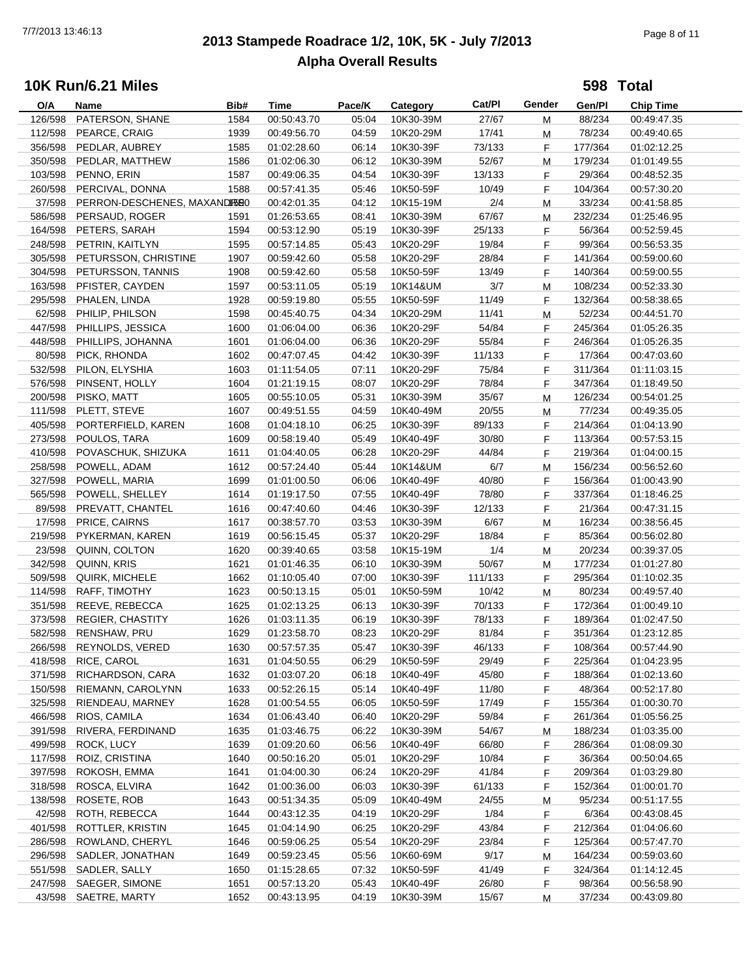# **2013 Stampede Roadrace 1/2, 10K, 5K - July 7/2013** 7/7/2013 13:46:13 Page 8 of 11 **Alpha Overall Results**

**598 Total**

| O/A     | Name                         | Bib# | <b>Time</b> | Pace/K | Category  | Cat/Pl  | Gender | Gen/Pl  | <b>Chip Time</b> |
|---------|------------------------------|------|-------------|--------|-----------|---------|--------|---------|------------------|
| 126/598 | PATERSON, SHANE              | 1584 | 00:50:43.70 | 05:04  | 10K30-39M | 27/67   | М      | 88/234  | 00:49:47.35      |
| 112/598 | PEARCE, CRAIG                | 1939 | 00:49:56.70 | 04:59  | 10K20-29M | 17/41   | M      | 78/234  | 00:49:40.65      |
| 356/598 | PEDLAR, AUBREY               | 1585 | 01:02:28.60 | 06:14  | 10K30-39F | 73/133  | F      | 177/364 | 01:02:12.25      |
| 350/598 | PEDLAR, MATTHEW              | 1586 | 01:02:06.30 | 06:12  | 10K30-39M | 52/67   | М      | 179/234 | 01:01:49.55      |
| 103/598 | PENNO, ERIN                  | 1587 | 00:49:06.35 | 04:54  | 10K30-39F | 13/133  | F      | 29/364  | 00:48:52.35      |
|         |                              |      |             |        |           |         |        |         | 00:57:30.20      |
| 260/598 | PERCIVAL, DONNA              | 1588 | 00:57:41.35 | 05:46  | 10K50-59F | 10/49   | F      | 104/364 |                  |
| 37/598  | PERRON-DESCHENES, MAXANDISE0 |      | 00:42:01.35 | 04:12  | 10K15-19M | 2/4     | M      | 33/234  | 00:41:58.85      |
| 586/598 | PERSAUD, ROGER               | 1591 | 01:26:53.65 | 08:41  | 10K30-39M | 67/67   | М      | 232/234 | 01:25:46.95      |
| 164/598 | PETERS, SARAH                | 1594 | 00:53:12.90 | 05:19  | 10K30-39F | 25/133  | F      | 56/364  | 00:52:59.45      |
| 248/598 | PETRIN, KAITLYN              | 1595 | 00:57:14.85 | 05:43  | 10K20-29F | 19/84   | F      | 99/364  | 00:56:53.35      |
| 305/598 | PETURSSON, CHRISTINE         | 1907 | 00:59:42.60 | 05:58  | 10K20-29F | 28/84   | F      | 141/364 | 00:59:00.60      |
| 304/598 | PETURSSON, TANNIS            | 1908 | 00:59:42.60 | 05:58  | 10K50-59F | 13/49   | F      | 140/364 | 00:59:00.55      |
| 163/598 | PFISTER, CAYDEN              | 1597 | 00:53:11.05 | 05:19  | 10K14&UM  | 3/7     | M      | 108/234 | 00:52:33.30      |
| 295/598 | PHALEN, LINDA                | 1928 | 00:59:19.80 | 05:55  | 10K50-59F | 11/49   | F      | 132/364 | 00:58:38.65      |
| 62/598  | PHILIP, PHILSON              | 1598 | 00:45:40.75 | 04:34  | 10K20-29M | 11/41   | M      | 52/234  | 00:44:51.70      |
| 447/598 | PHILLIPS, JESSICA            | 1600 | 01:06:04.00 | 06:36  | 10K20-29F | 54/84   | F.     | 245/364 | 01:05:26.35      |
| 448/598 | PHILLIPS, JOHANNA            | 1601 | 01:06:04.00 | 06:36  | 10K20-29F | 55/84   | F      | 246/364 | 01:05:26.35      |
| 80/598  | PICK, RHONDA                 | 1602 | 00:47:07.45 | 04:42  | 10K30-39F | 11/133  | F      | 17/364  | 00:47:03.60      |
| 532/598 | PILON, ELYSHIA               |      |             |        |           | 75/84   |        | 311/364 |                  |
|         |                              | 1603 | 01:11:54.05 | 07:11  | 10K20-29F |         | F      |         | 01:11:03.15      |
| 576/598 | PINSENT, HOLLY               | 1604 | 01:21:19.15 | 08:07  | 10K20-29F | 78/84   | F      | 347/364 | 01:18:49.50      |
| 200/598 | PISKO, MATT                  | 1605 | 00:55:10.05 | 05:31  | 10K30-39M | 35/67   | M      | 126/234 | 00:54:01.25      |
| 111/598 | PLETT, STEVE                 | 1607 | 00:49:51.55 | 04:59  | 10K40-49M | 20/55   | M      | 77/234  | 00:49:35.05      |
| 405/598 | PORTERFIELD, KAREN           | 1608 | 01:04:18.10 | 06:25  | 10K30-39F | 89/133  | F      | 214/364 | 01:04:13.90      |
| 273/598 | POULOS, TARA                 | 1609 | 00:58:19.40 | 05:49  | 10K40-49F | 30/80   | F.     | 113/364 | 00:57:53.15      |
| 410/598 | POVASCHUK, SHIZUKA           | 1611 | 01:04:40.05 | 06:28  | 10K20-29F | 44/84   | F      | 219/364 | 01:04:00.15      |
| 258/598 | POWELL, ADAM                 | 1612 | 00:57:24.40 | 05:44  | 10K14&UM  | 6/7     | M      | 156/234 | 00:56:52.60      |
| 327/598 | POWELL, MARIA                | 1699 | 01:01:00.50 | 06:06  | 10K40-49F | 40/80   | F      | 156/364 | 01:00:43.90      |
| 565/598 | POWELL, SHELLEY              | 1614 | 01:19:17.50 | 07:55  | 10K40-49F | 78/80   | F      | 337/364 | 01:18:46.25      |
| 89/598  | PREVATT, CHANTEL             | 1616 | 00:47:40.60 | 04:46  | 10K30-39F | 12/133  | F      | 21/364  | 00:47:31.15      |
| 17/598  | PRICE, CAIRNS                | 1617 | 00:38:57.70 | 03:53  | 10K30-39M | 6/67    | M      | 16/234  | 00:38:56.45      |
| 219/598 | PYKERMAN, KAREN              | 1619 | 00:56:15.45 | 05:37  | 10K20-29F | 18/84   | F.     | 85/364  | 00:56:02.80      |
| 23/598  | QUINN, COLTON                | 1620 | 00:39:40.65 | 03:58  | 10K15-19M | 1/4     |        | 20/234  | 00:39:37.05      |
|         |                              |      |             |        |           |         | M      |         |                  |
| 342/598 | QUINN, KRIS                  | 1621 | 01:01:46.35 | 06:10  | 10K30-39M | 50/67   | M      | 177/234 | 01:01:27.80      |
| 509/598 | QUIRK, MICHELE               | 1662 | 01:10:05.40 | 07:00  | 10K30-39F | 111/133 | F      | 295/364 | 01:10:02.35      |
| 114/598 | RAFF, TIMOTHY                | 1623 | 00:50:13.15 | 05:01  | 10K50-59M | 10/42   | M      | 80/234  | 00:49:57.40      |
| 351/598 | REEVE, REBECCA               | 1625 | 01:02:13.25 | 06:13  | 10K30-39F | 70/133  | F.     | 172/364 | 01:00:49.10      |
| 373/598 | <b>REGIER, CHASTITY</b>      | 1626 | 01:03:11.35 | 06:19  | 10K30-39F | 78/133  | F      | 189/364 | 01:02:47.50      |
| 582/598 | RENSHAW, PRU                 | 1629 | 01:23:58.70 | 08:23  | 10K20-29F | 81/84   | F      | 351/364 | 01:23:12.85      |
| 266/598 | REYNOLDS, VERED              | 1630 | 00:57:57.35 | 05:47  | 10K30-39F | 46/133  | F      | 108/364 | 00:57:44.90      |
| 418/598 | RICE, CAROL                  | 1631 | 01:04:50.55 | 06:29  | 10K50-59F | 29/49   | F      | 225/364 | 01:04:23.95      |
| 371/598 | RICHARDSON, CARA             | 1632 | 01:03:07.20 | 06:18  | 10K40-49F | 45/80   | F      | 188/364 | 01:02:13.60      |
| 150/598 | RIEMANN, CAROLYNN            | 1633 | 00:52:26.15 | 05:14  | 10K40-49F | 11/80   | F      | 48/364  | 00:52:17.80      |
| 325/598 | RIENDEAU, MARNEY             | 1628 | 01:00:54.55 | 06:05  | 10K50-59F | 17/49   | F.     | 155/364 | 01:00:30.70      |
| 466/598 | RIOS, CAMILA                 | 1634 | 01:06:43.40 | 06:40  | 10K20-29F | 59/84   | F.     | 261/364 | 01:05:56.25      |
| 391/598 | RIVERA, FERDINAND            | 1635 | 01:03:46.75 | 06:22  | 10K30-39M | 54/67   | M      | 188/234 | 01:03:35.00      |
| 499/598 | ROCK, LUCY                   | 1639 | 01:09:20.60 | 06:56  | 10K40-49F | 66/80   | F      | 286/364 | 01:08:09.30      |
| 117/598 | ROIZ, CRISTINA               | 1640 | 00:50:16.20 | 05:01  | 10K20-29F | 10/84   |        | 36/364  | 00:50:04.65      |
|         |                              |      |             |        |           |         | F      |         |                  |
| 397/598 | ROKOSH, EMMA                 | 1641 | 01:04:00.30 | 06:24  | 10K20-29F | 41/84   | F      | 209/364 | 01:03:29.80      |
| 318/598 | ROSCA, ELVIRA                | 1642 | 01:00:36.00 | 06:03  | 10K30-39F | 61/133  | F      | 152/364 | 01:00:01.70      |
| 138/598 | ROSETE, ROB                  | 1643 | 00:51:34.35 | 05:09  | 10K40-49M | 24/55   | M      | 95/234  | 00:51:17.55      |
| 42/598  | ROTH, REBECCA                | 1644 | 00:43:12.35 | 04:19  | 10K20-29F | 1/84    | F.     | 6/364   | 00:43:08.45      |
| 401/598 | ROTTLER, KRISTIN             | 1645 | 01:04:14.90 | 06:25  | 10K20-29F | 43/84   | F.     | 212/364 | 01:04:06.60      |
| 286/598 | ROWLAND, CHERYL              | 1646 | 00:59:06.25 | 05:54  | 10K20-29F | 23/84   | F      | 125/364 | 00:57:47.70      |
| 296/598 | SADLER, JONATHAN             | 1649 | 00:59:23.45 | 05:56  | 10K60-69M | 9/17    | M      | 164/234 | 00:59:03.60      |
| 551/598 | SADLER, SALLY                | 1650 | 01:15:28.65 | 07:32  | 10K50-59F | 41/49   | F      | 324/364 | 01:14:12.45      |
| 247/598 | SAEGER, SIMONE               | 1651 | 00:57:13.20 | 05:43  | 10K40-49F | 26/80   | F      | 98/364  | 00:56:58.90      |
| 43/598  | SAETRE, MARTY                | 1652 | 00:43:13.95 | 04:19  | 10K30-39M | 15/67   | M      | 37/234  | 00:43:09.80      |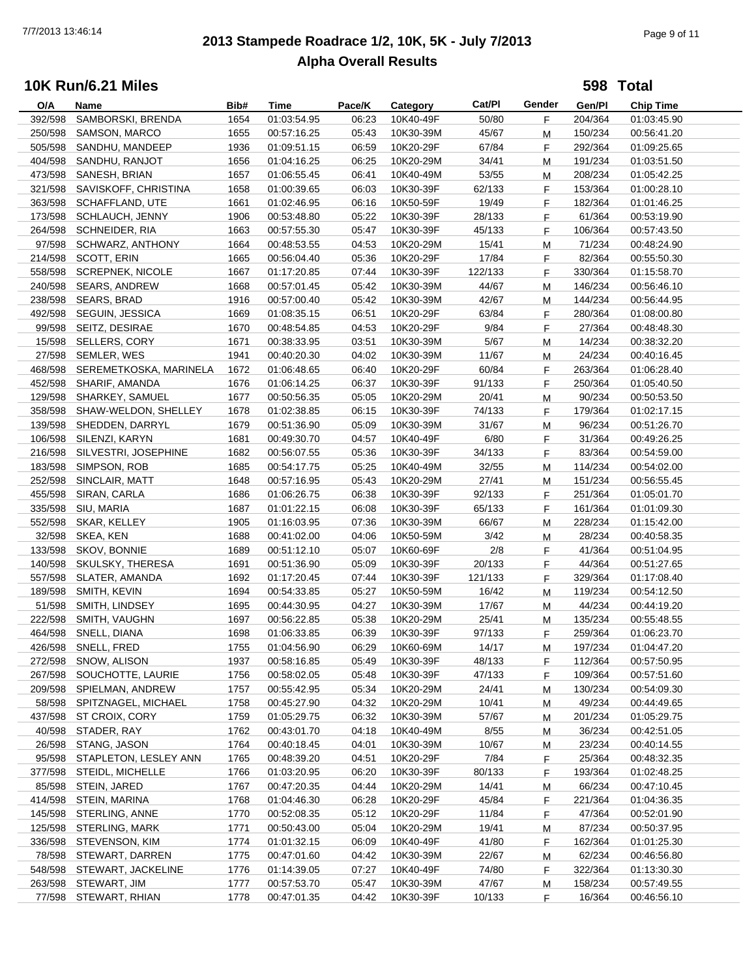# **2013 Stampede Roadrace 1/2, 10K, 5K - July 7/2013** 7/7/2013 13:46:14 Page 9 of 11 **Alpha Overall Results**

**598 Total**

| O/A     | Name                    | Bib# | <b>Time</b> | Pace/K | Category  | Cat/Pl  | Gender | Gen/Pl  | <b>Chip Time</b> |
|---------|-------------------------|------|-------------|--------|-----------|---------|--------|---------|------------------|
| 392/598 | SAMBORSKI, BRENDA       | 1654 | 01:03:54.95 | 06:23  | 10K40-49F | 50/80   | F      | 204/364 | 01:03:45.90      |
| 250/598 | SAMSON, MARCO           | 1655 | 00:57:16.25 | 05:43  | 10K30-39M | 45/67   | M      | 150/234 | 00:56:41.20      |
| 505/598 | SANDHU, MANDEEP         | 1936 | 01:09:51.15 | 06:59  | 10K20-29F | 67/84   | F      | 292/364 | 01:09:25.65      |
| 404/598 | SANDHU, RANJOT          | 1656 | 01:04:16.25 | 06:25  | 10K20-29M | 34/41   | M      | 191/234 | 01:03:51.50      |
| 473/598 | SANESH, BRIAN           | 1657 | 01:06:55.45 | 06:41  | 10K40-49M | 53/55   | M      | 208/234 | 01:05:42.25      |
| 321/598 | SAVISKOFF, CHRISTINA    | 1658 | 01:00:39.65 | 06:03  | 10K30-39F | 62/133  | F      | 153/364 | 01:00:28.10      |
| 363/598 | SCHAFFLAND, UTE         | 1661 | 01:02:46.95 | 06:16  | 10K50-59F | 19/49   | F      | 182/364 | 01:01:46.25      |
| 173/598 | SCHLAUCH, JENNY         | 1906 | 00:53:48.80 | 05:22  | 10K30-39F | 28/133  |        | 61/364  |                  |
|         |                         |      |             |        |           |         | F.     |         | 00:53:19.90      |
| 264/598 | SCHNEIDER, RIA          | 1663 | 00:57:55.30 | 05:47  | 10K30-39F | 45/133  | F      | 106/364 | 00:57:43.50      |
| 97/598  | SCHWARZ, ANTHONY        | 1664 | 00:48:53.55 | 04:53  | 10K20-29M | 15/41   | M      | 71/234  | 00:48:24.90      |
| 214/598 | SCOTT, ERIN             | 1665 | 00:56:04.40 | 05:36  | 10K20-29F | 17/84   | F      | 82/364  | 00:55:50.30      |
| 558/598 | <b>SCREPNEK, NICOLE</b> | 1667 | 01:17:20.85 | 07:44  | 10K30-39F | 122/133 | F      | 330/364 | 01:15:58.70      |
| 240/598 | <b>SEARS, ANDREW</b>    | 1668 | 00:57:01.45 | 05:42  | 10K30-39M | 44/67   | M      | 146/234 | 00:56:46.10      |
|         | 238/598 SEARS, BRAD     | 1916 | 00:57:00.40 | 05:42  | 10K30-39M | 42/67   | M      | 144/234 | 00:56:44.95      |
| 492/598 | SEGUIN, JESSICA         | 1669 | 01:08:35.15 | 06:51  | 10K20-29F | 63/84   | F      | 280/364 | 01:08:00.80      |
| 99/598  | SEITZ, DESIRAE          | 1670 | 00:48:54.85 | 04:53  | 10K20-29F | 9/84    | F.     | 27/364  | 00:48:48.30      |
| 15/598  | SELLERS, CORY           | 1671 | 00:38:33.95 | 03:51  | 10K30-39M | 5/67    | M      | 14/234  | 00:38:32.20      |
| 27/598  | SEMLER, WES             | 1941 | 00:40:20.30 | 04:02  | 10K30-39M | 11/67   | M      | 24/234  | 00:40:16.45      |
| 468/598 | SEREMETKOSKA, MARINELA  | 1672 | 01:06:48.65 | 06:40  | 10K20-29F | 60/84   | F      | 263/364 | 01:06:28.40      |
| 452/598 | SHARIF, AMANDA          | 1676 | 01:06:14.25 | 06:37  | 10K30-39F | 91/133  | F      | 250/364 | 01:05:40.50      |
| 129/598 | SHARKEY, SAMUEL         | 1677 | 00:50:56.35 | 05:05  | 10K20-29M | 20/41   | M      | 90/234  | 00:50:53.50      |
| 358/598 | SHAW-WELDON, SHELLEY    | 1678 | 01:02:38.85 | 06:15  | 10K30-39F | 74/133  | F      | 179/364 | 01:02:17.15      |
| 139/598 | SHEDDEN, DARRYL         | 1679 | 00:51:36.90 | 05:09  | 10K30-39M | 31/67   | M      | 96/234  | 00:51:26.70      |
| 106/598 | SILENZI, KARYN          | 1681 | 00:49:30.70 | 04:57  | 10K40-49F | 6/80    | F      | 31/364  | 00:49:26.25      |
| 216/598 | SILVESTRI, JOSEPHINE    | 1682 | 00:56:07.55 | 05:36  | 10K30-39F | 34/133  | F      | 83/364  | 00:54:59.00      |
| 183/598 | SIMPSON, ROB            | 1685 | 00:54:17.75 | 05:25  | 10K40-49M | 32/55   | М      | 114/234 | 00:54:02.00      |
| 252/598 | SINCLAIR, MATT          | 1648 | 00:57:16.95 | 05:43  | 10K20-29M | 27/41   | М      | 151/234 | 00:56:55.45      |
| 455/598 | SIRAN, CARLA            | 1686 | 01:06:26.75 | 06:38  | 10K30-39F | 92/133  | F      | 251/364 | 01:05:01.70      |
| 335/598 | SIU, MARIA              | 1687 | 01:01:22.15 | 06:08  | 10K30-39F | 65/133  | F      | 161/364 | 01:01:09.30      |
| 552/598 | SKAR, KELLEY            | 1905 | 01:16:03.95 | 07:36  | 10K30-39M | 66/67   | M      | 228/234 | 01:15:42.00      |
| 32/598  | SKEA, KEN               | 1688 | 00:41:02.00 | 04:06  | 10K50-59M | 3/42    | M      | 28/234  | 00:40:58.35      |
| 133/598 | SKOV, BONNIE            | 1689 | 00:51:12.10 | 05:07  | 10K60-69F | 2/8     | F      | 41/364  | 00:51:04.95      |
| 140/598 | SKULSKY, THERESA        | 1691 | 00:51:36.90 | 05:09  | 10K30-39F | 20/133  | F      | 44/364  | 00:51:27.65      |
| 557/598 | SLATER, AMANDA          | 1692 | 01:17:20.45 | 07:44  | 10K30-39F | 121/133 | F      | 329/364 | 01:17:08.40      |
| 189/598 | SMITH, KEVIN            | 1694 | 00:54:33.85 | 05:27  | 10K50-59M | 16/42   | M      | 119/234 | 00:54:12.50      |
| 51/598  | SMITH, LINDSEY          | 1695 | 00:44:30.95 | 04:27  | 10K30-39M | 17/67   | M      | 44/234  | 00:44:19.20      |
| 222/598 | SMITH, VAUGHN           | 1697 | 00:56:22.85 | 05:38  | 10K20-29M | 25/41   | М      | 135/234 | 00:55:48.55      |
| 464/598 | SNELL, DIANA            | 1698 | 01:06:33.85 | 06:39  | 10K30-39F | 97/133  | F      | 259/364 | 01:06:23.70      |
|         | 426/598 SNELL, FRED     | 1755 | 01:04:56.90 | 06:29  | 10K60-69M | 14/17   | M      | 197/234 | 01:04:47.20      |
| 272/598 | SNOW, ALISON            | 1937 | 00:58:16.85 | 05:49  | 10K30-39F | 48/133  | F      | 112/364 | 00:57:50.95      |
| 267/598 | SOUCHOTTE, LAURIE       | 1756 | 00:58:02.05 | 05:48  | 10K30-39F | 47/133  | F      | 109/364 | 00:57:51.60      |
| 209/598 | SPIELMAN, ANDREW        |      |             |        | 10K20-29M |         |        | 130/234 |                  |
|         | SPITZNAGEL, MICHAEL     | 1757 | 00:55:42.95 | 05:34  |           | 24/41   | M      |         | 00:54:09.30      |
| 58/598  | ST CROIX, CORY          | 1758 | 00:45:27.90 | 04:32  | 10K20-29M | 10/41   | M      | 49/234  | 00:44:49.65      |
| 437/598 | STADER, RAY             | 1759 | 01:05:29.75 | 06:32  | 10K30-39M | 57/67   | M      | 201/234 | 01:05:29.75      |
| 40/598  |                         | 1762 | 00:43:01.70 | 04:18  | 10K40-49M | 8/55    | M      | 36/234  | 00:42:51.05      |
| 26/598  | STANG, JASON            | 1764 | 00:40:18.45 | 04:01  | 10K30-39M | 10/67   | M      | 23/234  | 00:40:14.55      |
| 95/598  | STAPLETON, LESLEY ANN   | 1765 | 00:48:39.20 | 04:51  | 10K20-29F | 7/84    | F      | 25/364  | 00:48:32.35      |
| 377/598 | STEIDL, MICHELLE        | 1766 | 01:03:20.95 | 06:20  | 10K30-39F | 80/133  | F      | 193/364 | 01:02:48.25      |
| 85/598  | STEIN, JARED            | 1767 | 00:47:20.35 | 04:44  | 10K20-29M | 14/41   | M      | 66/234  | 00:47:10.45      |
| 414/598 | STEIN, MARINA           | 1768 | 01:04:46.30 | 06:28  | 10K20-29F | 45/84   | F.     | 221/364 | 01:04:36.35      |
| 145/598 | STERLING, ANNE          | 1770 | 00:52:08.35 | 05:12  | 10K20-29F | 11/84   | F.     | 47/364  | 00:52:01.90      |
| 125/598 | STERLING, MARK          | 1771 | 00:50:43.00 | 05:04  | 10K20-29M | 19/41   | M      | 87/234  | 00:50:37.95      |
| 336/598 | STEVENSON, KIM          | 1774 | 01:01:32.15 | 06:09  | 10K40-49F | 41/80   | F      | 162/364 | 01:01:25.30      |
|         | 78/598 STEWART, DARREN  | 1775 | 00:47:01.60 | 04:42  | 10K30-39M | 22/67   | M      | 62/234  | 00:46:56.80      |
| 548/598 | STEWART, JACKELINE      | 1776 | 01:14:39.05 | 07:27  | 10K40-49F | 74/80   | F      | 322/364 | 01:13:30.30      |
| 263/598 | STEWART, JIM            | 1777 | 00:57:53.70 | 05:47  | 10K30-39M | 47/67   | M      | 158/234 | 00:57:49.55      |
|         | 77/598 STEWART, RHIAN   | 1778 | 00:47:01.35 | 04:42  | 10K30-39F | 10/133  | F      | 16/364  | 00:46:56.10      |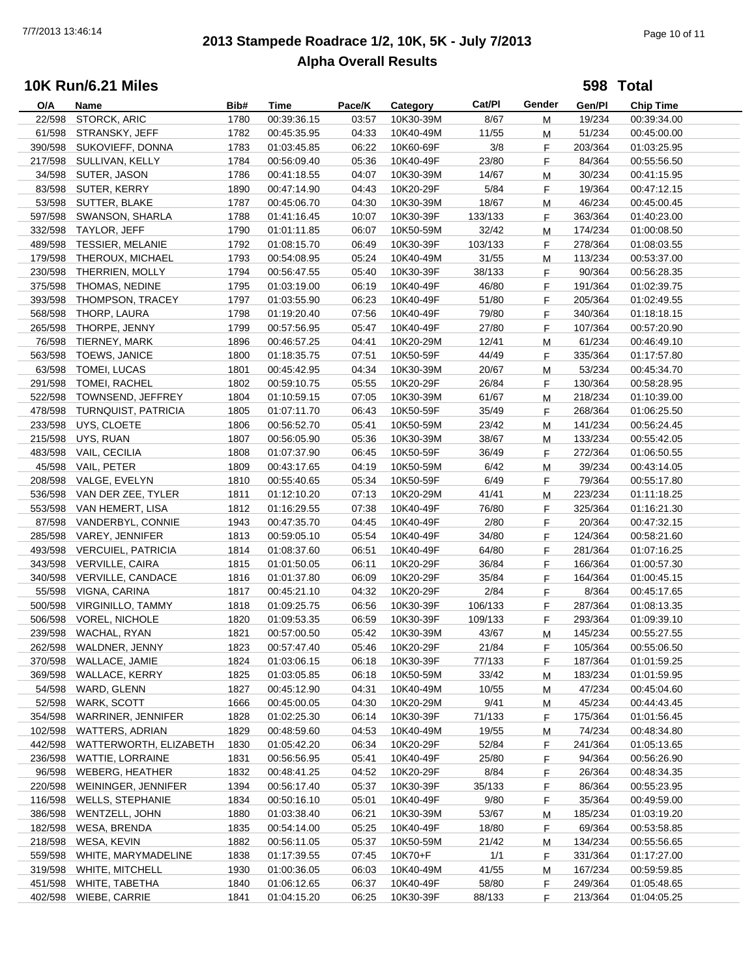# **2013 Stampede Roadrace 1/2, 10K, 5K - July 7/2013** 7/7/2013 13:46:14 Page 10 of 11 **Alpha Overall Results**

**598 Total**

| O/A     | Name                       | Bib# | Time        | Pace/K | Category  | Cat/Pl  | Gender | Gen/Pl  | <b>Chip Time</b> |  |
|---------|----------------------------|------|-------------|--------|-----------|---------|--------|---------|------------------|--|
| 22/598  | STORCK, ARIC               | 1780 | 00:39:36.15 | 03:57  | 10K30-39M | 8/67    | М      | 19/234  | 00:39:34.00      |  |
| 61/598  | STRANSKY, JEFF             | 1782 | 00:45:35.95 | 04:33  | 10K40-49M | 11/55   | М      | 51/234  | 00:45:00.00      |  |
| 390/598 | SUKOVIEFF, DONNA           | 1783 | 01:03:45.85 | 06:22  | 10K60-69F | 3/8     | F      | 203/364 | 01:03:25.95      |  |
| 217/598 | SULLIVAN, KELLY            | 1784 | 00:56:09.40 | 05:36  | 10K40-49F | 23/80   | F      | 84/364  | 00:55:56.50      |  |
| 34/598  | SUTER, JASON               | 1786 | 00:41:18.55 | 04:07  | 10K30-39M | 14/67   | M      | 30/234  | 00:41:15.95      |  |
|         | 83/598 SUTER, KERRY        | 1890 | 00:47:14.90 | 04:43  | 10K20-29F | 5/84    | F      | 19/364  | 00:47:12.15      |  |
|         | 53/598 SUTTER, BLAKE       | 1787 |             | 04:30  |           | 18/67   |        | 46/234  |                  |  |
|         |                            |      | 00:45:06.70 |        | 10K30-39M |         | M      |         | 00:45:00.45      |  |
| 597/598 | SWANSON, SHARLA            | 1788 | 01:41:16.45 | 10:07  | 10K30-39F | 133/133 | F.     | 363/364 | 01:40:23.00      |  |
| 332/598 | TAYLOR, JEFF               | 1790 | 01:01:11.85 | 06:07  | 10K50-59M | 32/42   | М      | 174/234 | 01:00:08.50      |  |
| 489/598 | <b>TESSIER, MELANIE</b>    | 1792 | 01:08:15.70 | 06:49  | 10K30-39F | 103/133 | F.     | 278/364 | 01:08:03.55      |  |
| 179/598 | THEROUX, MICHAEL           | 1793 | 00:54:08.95 | 05:24  | 10K40-49M | 31/55   | М      | 113/234 | 00:53:37.00      |  |
| 230/598 | THERRIEN, MOLLY            | 1794 | 00:56:47.55 | 05:40  | 10K30-39F | 38/133  | F.     | 90/364  | 00:56:28.35      |  |
| 375/598 | THOMAS, NEDINE             | 1795 | 01:03:19.00 | 06:19  | 10K40-49F | 46/80   | F      | 191/364 | 01:02:39.75      |  |
| 393/598 | THOMPSON, TRACEY           | 1797 | 01:03:55.90 | 06:23  | 10K40-49F | 51/80   | F      | 205/364 | 01:02:49.55      |  |
| 568/598 | THORP, LAURA               | 1798 | 01:19:20.40 | 07:56  | 10K40-49F | 79/80   | F.     | 340/364 | 01:18:18.15      |  |
| 265/598 | THORPE, JENNY              | 1799 | 00:57:56.95 | 05:47  | 10K40-49F | 27/80   | F.     | 107/364 | 00:57:20.90      |  |
| 76/598  | TIERNEY, MARK              | 1896 | 00:46:57.25 | 04:41  | 10K20-29M | 12/41   | M      | 61/234  | 00:46:49.10      |  |
| 563/598 | <b>TOEWS, JANICE</b>       | 1800 | 01:18:35.75 | 07:51  | 10K50-59F | 44/49   | F.     | 335/364 | 01:17:57.80      |  |
| 63/598  | TOMEI, LUCAS               | 1801 | 00:45:42.95 | 04:34  | 10K30-39M | 20/67   | М      | 53/234  | 00:45:34.70      |  |
| 291/598 | TOMEI, RACHEL              | 1802 | 00:59:10.75 | 05:55  | 10K20-29F | 26/84   | F      | 130/364 | 00:58:28.95      |  |
| 522/598 | TOWNSEND, JEFFREY          | 1804 | 01:10:59.15 | 07:05  | 10K30-39M | 61/67   | M      | 218/234 | 01:10:39.00      |  |
| 478/598 | <b>TURNQUIST, PATRICIA</b> | 1805 | 01:07:11.70 | 06:43  | 10K50-59F | 35/49   | F      | 268/364 | 01:06:25.50      |  |
| 233/598 | UYS, CLOETE                | 1806 | 00:56:52.70 | 05:41  | 10K50-59M | 23/42   | M      | 141/234 | 00:56:24.45      |  |
| 215/598 | UYS, RUAN                  | 1807 | 00:56:05.90 | 05:36  | 10K30-39M | 38/67   | М      | 133/234 | 00:55:42.05      |  |
| 483/598 |                            | 1808 | 01:07:37.90 | 06:45  | 10K50-59F | 36/49   | F.     | 272/364 |                  |  |
|         | VAIL, CECILIA              |      |             |        |           |         |        |         | 01:06:50.55      |  |
| 45/598  | VAIL, PETER                | 1809 | 00:43:17.65 | 04:19  | 10K50-59M | 6/42    | M      | 39/234  | 00:43:14.05      |  |
| 208/598 | VALGE, EVELYN              | 1810 | 00:55:40.65 | 05:34  | 10K50-59F | 6/49    | F.     | 79/364  | 00:55:17.80      |  |
| 536/598 | VAN DER ZEE, TYLER         | 1811 | 01:12:10.20 | 07:13  | 10K20-29M | 41/41   | М      | 223/234 | 01:11:18.25      |  |
| 553/598 | VAN HEMERT, LISA           | 1812 | 01:16:29.55 | 07:38  | 10K40-49F | 76/80   | F.     | 325/364 | 01:16:21.30      |  |
| 87/598  | VANDERBYL, CONNIE          | 1943 | 00:47:35.70 | 04:45  | 10K40-49F | 2/80    | F      | 20/364  | 00:47:32.15      |  |
| 285/598 | VAREY, JENNIFER            | 1813 | 00:59:05.10 | 05:54  | 10K40-49F | 34/80   | F      | 124/364 | 00:58:21.60      |  |
| 493/598 | <b>VERCUIEL, PATRICIA</b>  | 1814 | 01:08:37.60 | 06:51  | 10K40-49F | 64/80   | F.     | 281/364 | 01:07:16.25      |  |
| 343/598 | VERVILLE, CAIRA            | 1815 | 01:01:50.05 | 06:11  | 10K20-29F | 36/84   | F      | 166/364 | 01:00:57.30      |  |
| 340/598 | VERVILLE, CANDACE          | 1816 | 01:01:37.80 | 06:09  | 10K20-29F | 35/84   | F.     | 164/364 | 01:00:45.15      |  |
| 55/598  | VIGNA, CARINA              | 1817 | 00:45:21.10 | 04:32  | 10K20-29F | 2/84    | F      | 8/364   | 00:45:17.65      |  |
| 500/598 | <b>VIRGINILLO, TAMMY</b>   | 1818 | 01:09:25.75 | 06:56  | 10K30-39F | 106/133 | F      | 287/364 | 01:08:13.35      |  |
| 506/598 | <b>VOREL, NICHOLE</b>      | 1820 | 01:09:53.35 | 06:59  | 10K30-39F | 109/133 | F      | 293/364 | 01:09:39.10      |  |
| 239/598 | WACHAL, RYAN               | 1821 | 00:57:00.50 | 05:42  | 10K30-39M | 43/67   | M      | 145/234 | 00:55:27.55      |  |
|         | 262/598 WALDNER, JENNY     | 1823 | 00:57:47.40 | 05:46  | 10K20-29F | 21/84   | F.     | 105/364 | 00:55:06.50      |  |
|         | 370/598 WALLACE, JAMIE     | 1824 | 01:03:06.15 | 06:18  | 10K30-39F | 77/133  | F      | 187/364 | 01:01:59.25      |  |
| 369/598 | WALLACE, KERRY             | 1825 | 01:03:05.85 | 06:18  | 10K50-59M | 33/42   | М      | 183/234 | 01:01:59.95      |  |
| 54/598  | WARD, GLENN                | 1827 | 00:45:12.90 | 04:31  | 10K40-49M | 10/55   | м      | 47/234  | 00:45:04.60      |  |
| 52/598  | WARK, SCOTT                | 1666 | 00:45:00.05 | 04:30  | 10K20-29M | 9/41    | м      | 45/234  | 00:44:43.45      |  |
| 354/598 | WARRINER, JENNIFER         | 1828 | 01:02:25.30 | 06:14  | 10K30-39F | 71/133  | F.     | 175/364 | 01:01:56.45      |  |
| 102/598 | WATTERS, ADRIAN            | 1829 | 00:48:59.60 | 04:53  | 10K40-49M | 19/55   | M      | 74/234  | 00:48:34.80      |  |
| 442/598 | WATTERWORTH, ELIZABETH     | 1830 | 01:05:42.20 | 06:34  | 10K20-29F | 52/84   | F      | 241/364 | 01:05:13.65      |  |
| 236/598 | WATTIE, LORRAINE           |      |             |        |           |         |        |         |                  |  |
|         |                            | 1831 | 00:56:56.95 | 05:41  | 10K40-49F | 25/80   | F      | 94/364  | 00:56:26.90      |  |
| 96/598  | WEBERG, HEATHER            | 1832 | 00:48:41.25 | 04:52  | 10K20-29F | 8/84    | F      | 26/364  | 00:48:34.35      |  |
| 220/598 | WEININGER, JENNIFER        | 1394 | 00:56:17.40 | 05:37  | 10K30-39F | 35/133  | F.     | 86/364  | 00:55:23.95      |  |
| 116/598 | <b>WELLS, STEPHANIE</b>    | 1834 | 00:50:16.10 | 05:01  | 10K40-49F | 9/80    | F.     | 35/364  | 00:49:59.00      |  |
| 386/598 | WENTZELL, JOHN             | 1880 | 01:03:38.40 | 06:21  | 10K30-39M | 53/67   | M      | 185/234 | 01:03:19.20      |  |
| 182/598 | WESA, BRENDA               | 1835 | 00:54:14.00 | 05:25  | 10K40-49F | 18/80   | F.     | 69/364  | 00:53:58.85      |  |
| 218/598 | WESA, KEVIN                | 1882 | 00:56:11.05 | 05:37  | 10K50-59M | 21/42   | M      | 134/234 | 00:55:56.65      |  |
| 559/598 | WHITE, MARYMADELINE        | 1838 | 01:17:39.55 | 07:45  | 10K70+F   | 1/1     | F.     | 331/364 | 01:17:27.00      |  |
| 319/598 | <b>WHITE, MITCHELL</b>     | 1930 | 01:00:36.05 | 06:03  | 10K40-49M | 41/55   | M      | 167/234 | 00:59:59.85      |  |
| 451/598 | WHITE, TABETHA             | 1840 | 01:06:12.65 | 06:37  | 10K40-49F | 58/80   | F.     | 249/364 | 01:05:48.65      |  |
| 402/598 | WIEBE, CARRIE              | 1841 | 01:04:15.20 | 06:25  | 10K30-39F | 88/133  | F.     | 213/364 | 01:04:05.25      |  |